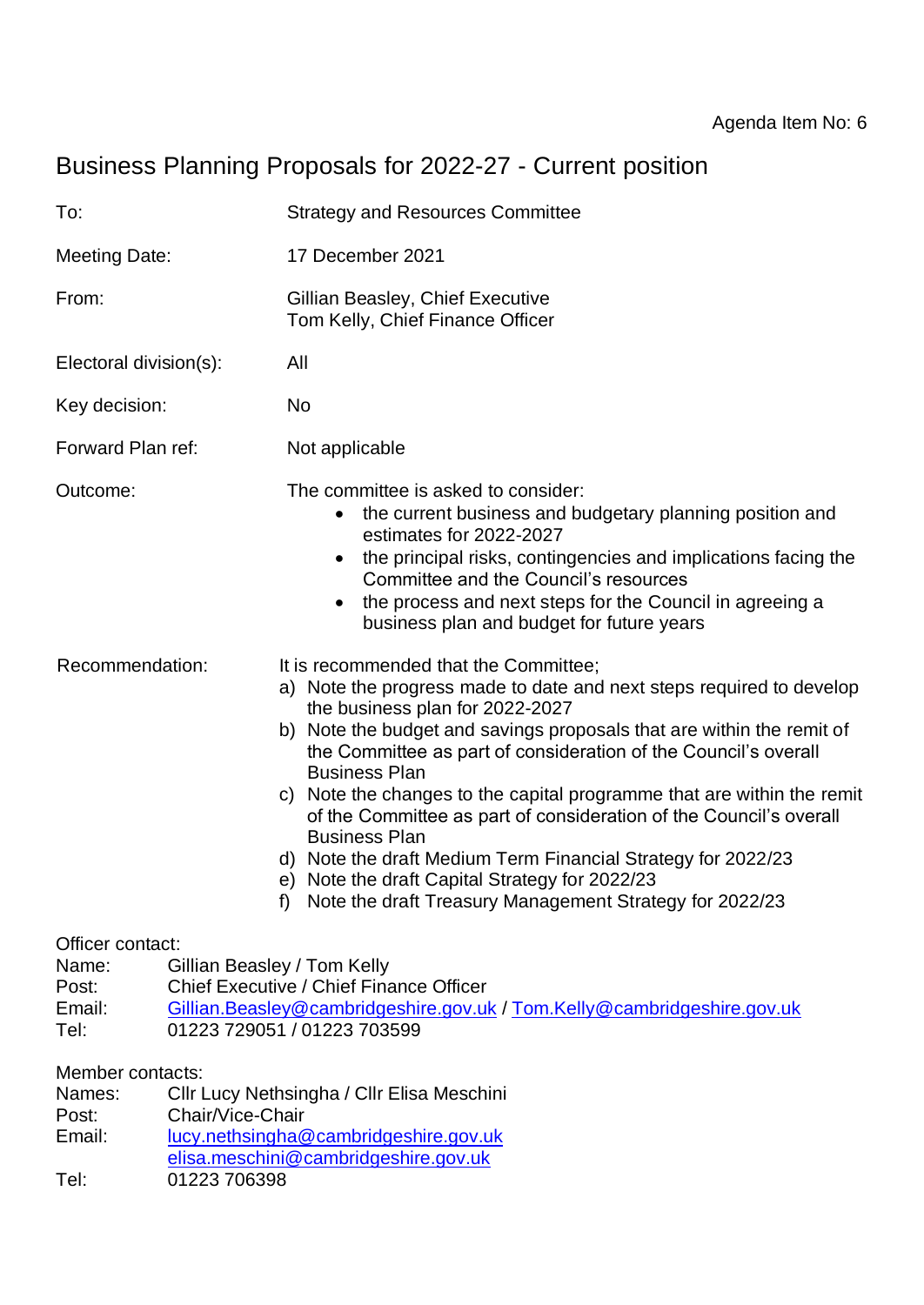# Business Planning Proposals for 2022-27 - Current position

| To:                                                   |                                  | <b>Strategy and Resources Committee</b>                                                                                                                                                                                                                                                                                                                                                                                                                                                                                                                                                                                                                                   |  |  |  |  |  |
|-------------------------------------------------------|----------------------------------|---------------------------------------------------------------------------------------------------------------------------------------------------------------------------------------------------------------------------------------------------------------------------------------------------------------------------------------------------------------------------------------------------------------------------------------------------------------------------------------------------------------------------------------------------------------------------------------------------------------------------------------------------------------------------|--|--|--|--|--|
| Meeting Date:                                         |                                  | 17 December 2021                                                                                                                                                                                                                                                                                                                                                                                                                                                                                                                                                                                                                                                          |  |  |  |  |  |
| From:                                                 |                                  | Gillian Beasley, Chief Executive<br>Tom Kelly, Chief Finance Officer                                                                                                                                                                                                                                                                                                                                                                                                                                                                                                                                                                                                      |  |  |  |  |  |
| Electoral division(s):                                |                                  | All                                                                                                                                                                                                                                                                                                                                                                                                                                                                                                                                                                                                                                                                       |  |  |  |  |  |
| Key decision:                                         |                                  | No                                                                                                                                                                                                                                                                                                                                                                                                                                                                                                                                                                                                                                                                        |  |  |  |  |  |
| Forward Plan ref:                                     |                                  | Not applicable                                                                                                                                                                                                                                                                                                                                                                                                                                                                                                                                                                                                                                                            |  |  |  |  |  |
| Outcome:                                              |                                  | The committee is asked to consider:<br>the current business and budgetary planning position and<br>estimates for 2022-2027<br>the principal risks, contingencies and implications facing the<br>Committee and the Council's resources<br>the process and next steps for the Council in agreeing a<br>business plan and budget for future years                                                                                                                                                                                                                                                                                                                            |  |  |  |  |  |
| Recommendation:                                       |                                  | It is recommended that the Committee;<br>a) Note the progress made to date and next steps required to develop<br>the business plan for 2022-2027<br>b) Note the budget and savings proposals that are within the remit of<br>the Committee as part of consideration of the Council's overall<br><b>Business Plan</b><br>c) Note the changes to the capital programme that are within the remit<br>of the Committee as part of consideration of the Council's overall<br><b>Business Plan</b><br>d) Note the draft Medium Term Financial Strategy for 2022/23<br>e) Note the draft Capital Strategy for 2022/23<br>Note the draft Treasury Management Strategy for 2022/23 |  |  |  |  |  |
| Officer contact:<br>Name:<br>Post:<br>Email:<br>Tel:  |                                  | Gillian Beasley / Tom Kelly<br>Chief Executive / Chief Finance Officer<br>Gillian.Beasley@cambridgeshire.gov.uk / Tom.Kelly@cambridgeshire.gov.uk<br>01223 729051 / 01223 703599                                                                                                                                                                                                                                                                                                                                                                                                                                                                                          |  |  |  |  |  |
| Member contacts:<br>Names:<br>Post:<br>Email:<br>Tel: | Chair/Vice-Chair<br>01223 706398 | Cllr Lucy Nethsingha / Cllr Elisa Meschini<br>lucy.nethsingha@cambridgeshire.gov.uk<br>elisa.meschini@cambridgeshire.gov.uk                                                                                                                                                                                                                                                                                                                                                                                                                                                                                                                                               |  |  |  |  |  |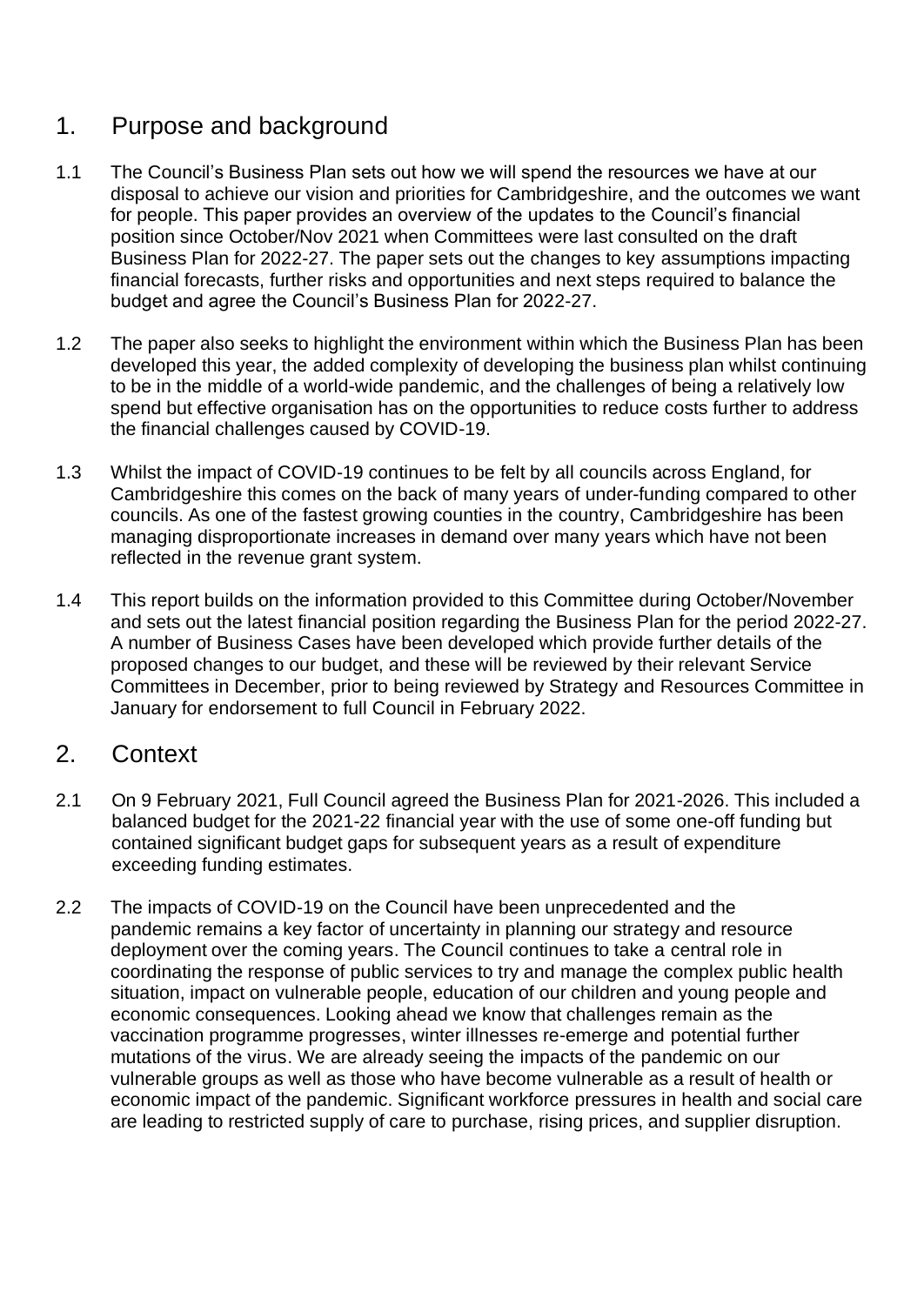# 1. Purpose and background

- 1.1 The Council's Business Plan sets out how we will spend the resources we have at our disposal to achieve our vision and priorities for Cambridgeshire, and the outcomes we want for people. This paper provides an overview of the updates to the Council's financial position since October/Nov 2021 when Committees were last consulted on the draft Business Plan for 2022-27. The paper sets out the changes to key assumptions impacting financial forecasts, further risks and opportunities and next steps required to balance the budget and agree the Council's Business Plan for 2022-27.
- 1.2 The paper also seeks to highlight the environment within which the Business Plan has been developed this year, the added complexity of developing the business plan whilst continuing to be in the middle of a world-wide pandemic, and the challenges of being a relatively low spend but effective organisation has on the opportunities to reduce costs further to address the financial challenges caused by COVID-19.
- 1.3 Whilst the impact of COVID-19 continues to be felt by all councils across England, for Cambridgeshire this comes on the back of many years of under-funding compared to other councils. As one of the fastest growing counties in the country, Cambridgeshire has been managing disproportionate increases in demand over many years which have not been reflected in the revenue grant system.
- 1.4 This report builds on the information provided to this Committee during October/November and sets out the latest financial position regarding the Business Plan for the period 2022-27. A number of Business Cases have been developed which provide further details of the proposed changes to our budget, and these will be reviewed by their relevant Service Committees in December, prior to being reviewed by Strategy and Resources Committee in January for endorsement to full Council in February 2022.

# 2. Context

- 2.1 On 9 February 2021, Full Council agreed the Business Plan for 2021-2026. This included a balanced budget for the 2021-22 financial year with the use of some one-off funding but contained significant budget gaps for subsequent years as a result of expenditure exceeding funding estimates.
- 2.2 The impacts of COVID-19 on the Council have been unprecedented and the pandemic remains a key factor of uncertainty in planning our strategy and resource deployment over the coming years. The Council continues to take a central role in coordinating the response of public services to try and manage the complex public health situation, impact on vulnerable people, education of our children and young people and economic consequences. Looking ahead we know that challenges remain as the vaccination programme progresses, winter illnesses re-emerge and potential further mutations of the virus. We are already seeing the impacts of the pandemic on our vulnerable groups as well as those who have become vulnerable as a result of health or economic impact of the pandemic. Significant workforce pressures in health and social care are leading to restricted supply of care to purchase, rising prices, and supplier disruption.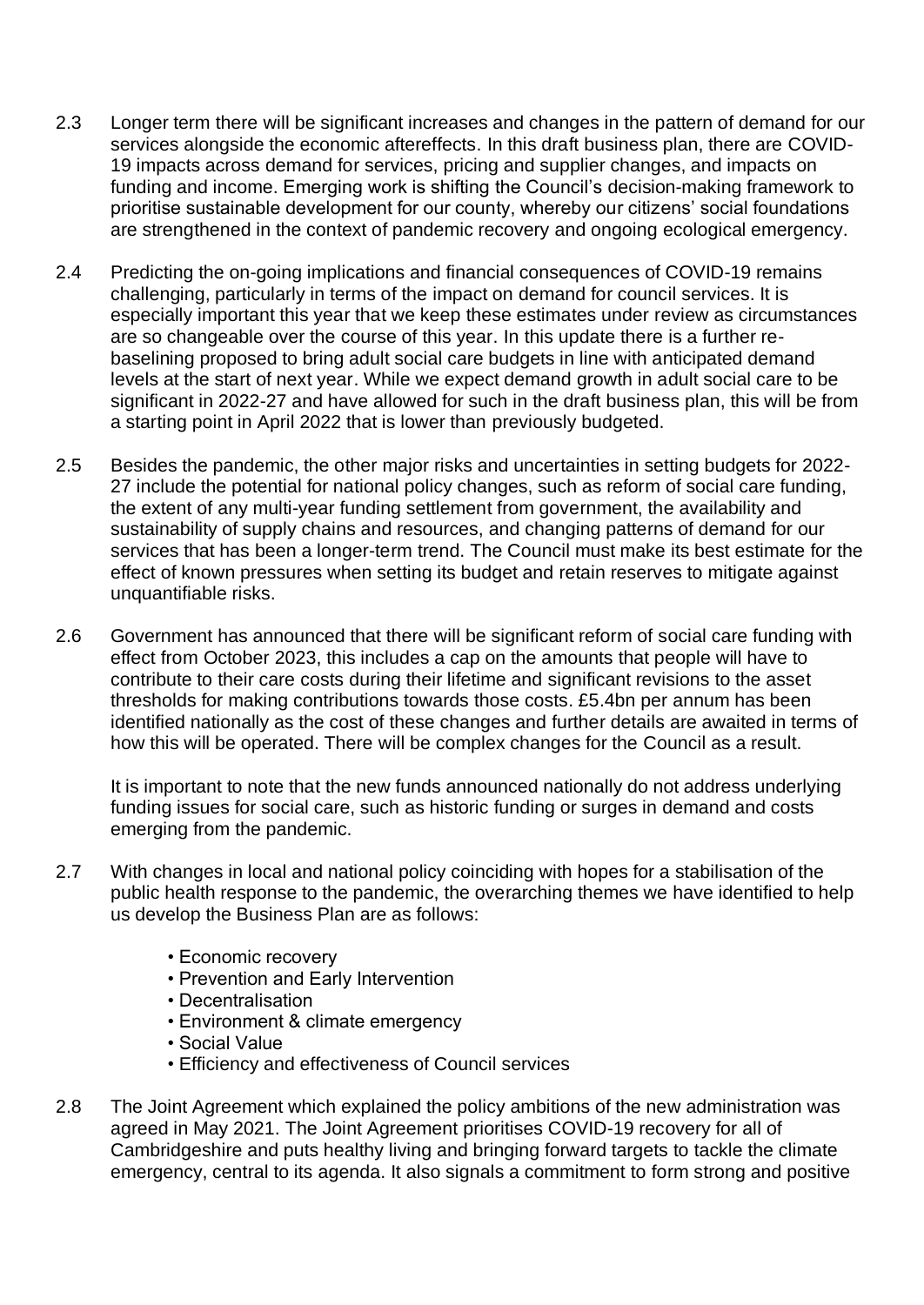- 2.3 Longer term there will be significant increases and changes in the pattern of demand for our services alongside the economic aftereffects. In this draft business plan, there are COVID-19 impacts across demand for services, pricing and supplier changes, and impacts on funding and income. Emerging work is shifting the Council's decision-making framework to prioritise sustainable development for our county, whereby our citizens' social foundations are strengthened in the context of pandemic recovery and ongoing ecological emergency.
- 2.4 Predicting the on-going implications and financial consequences of COVID-19 remains challenging, particularly in terms of the impact on demand for council services. It is especially important this year that we keep these estimates under review as circumstances are so changeable over the course of this year. In this update there is a further rebaselining proposed to bring adult social care budgets in line with anticipated demand levels at the start of next year. While we expect demand growth in adult social care to be significant in 2022-27 and have allowed for such in the draft business plan, this will be from a starting point in April 2022 that is lower than previously budgeted.
- 2.5 Besides the pandemic, the other major risks and uncertainties in setting budgets for 2022- 27 include the potential for national policy changes, such as reform of social care funding, the extent of any multi-year funding settlement from government, the availability and sustainability of supply chains and resources, and changing patterns of demand for our services that has been a longer-term trend. The Council must make its best estimate for the effect of known pressures when setting its budget and retain reserves to mitigate against unquantifiable risks.
- 2.6 Government has announced that there will be significant reform of social care funding with effect from October 2023, this includes a cap on the amounts that people will have to contribute to their care costs during their lifetime and significant revisions to the asset thresholds for making contributions towards those costs. £5.4bn per annum has been identified nationally as the cost of these changes and further details are awaited in terms of how this will be operated. There will be complex changes for the Council as a result.

It is important to note that the new funds announced nationally do not address underlying funding issues for social care, such as historic funding or surges in demand and costs emerging from the pandemic.

- 2.7 With changes in local and national policy coinciding with hopes for a stabilisation of the public health response to the pandemic, the overarching themes we have identified to help us develop the Business Plan are as follows:
	- Economic recovery
	- Prevention and Early Intervention
	- Decentralisation
	- Environment & climate emergency
	- Social Value
	- Efficiency and effectiveness of Council services
- 2.8 The Joint Agreement which explained the policy ambitions of the new administration was agreed in May 2021. The Joint Agreement prioritises COVID-19 recovery for all of Cambridgeshire and puts healthy living and bringing forward targets to tackle the climate emergency, central to its agenda. It also signals a commitment to form strong and positive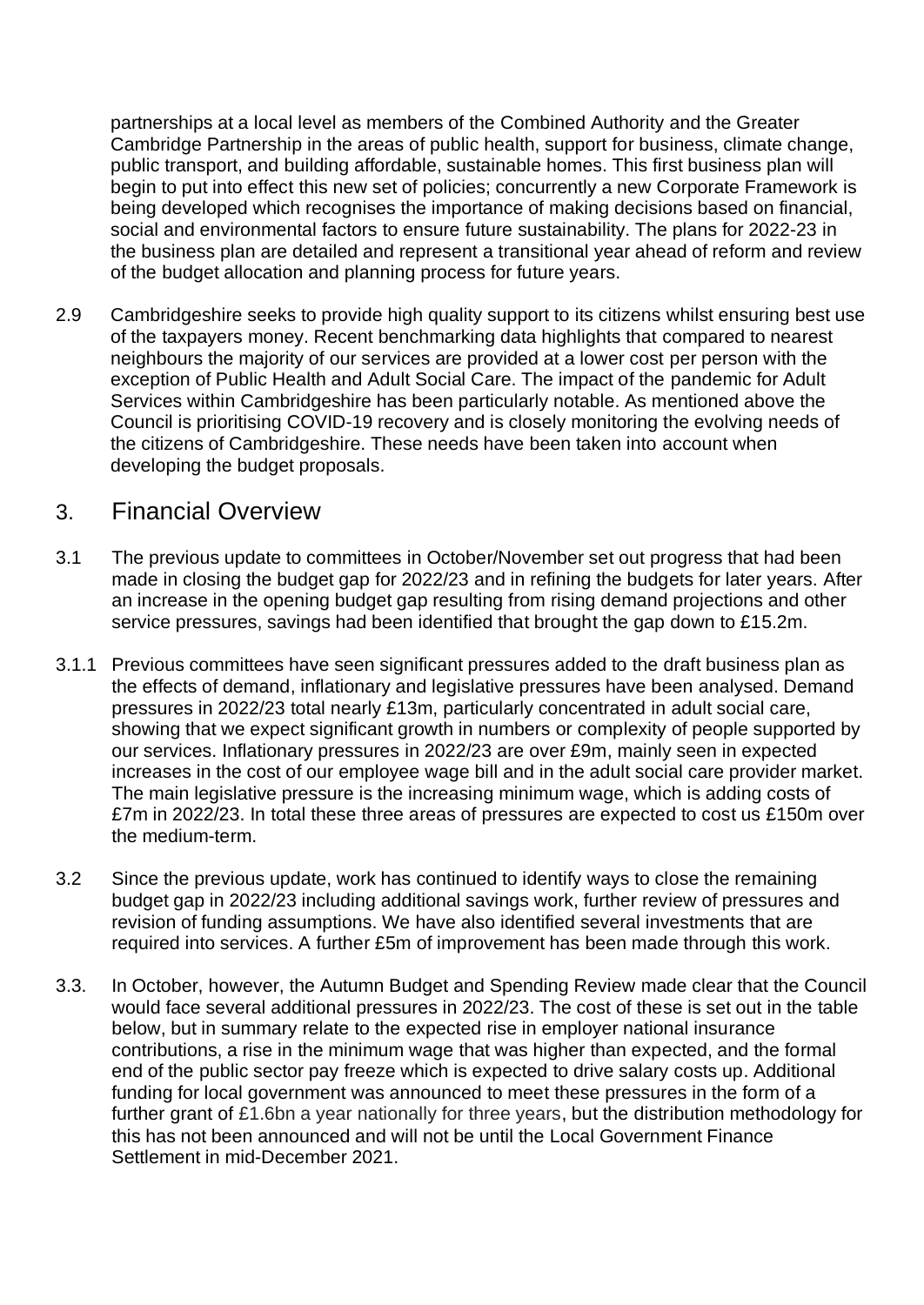partnerships at a local level as members of the Combined Authority and the Greater Cambridge Partnership in the areas of public health, support for business, climate change, public transport, and building affordable, sustainable homes. This first business plan will begin to put into effect this new set of policies; concurrently a new Corporate Framework is being developed which recognises the importance of making decisions based on financial, social and environmental factors to ensure future sustainability. The plans for 2022-23 in the business plan are detailed and represent a transitional year ahead of reform and review of the budget allocation and planning process for future years.

2.9 Cambridgeshire seeks to provide high quality support to its citizens whilst ensuring best use of the taxpayers money. Recent benchmarking data highlights that compared to nearest neighbours the majority of our services are provided at a lower cost per person with the exception of Public Health and Adult Social Care. The impact of the pandemic for Adult Services within Cambridgeshire has been particularly notable. As mentioned above the Council is prioritising COVID-19 recovery and is closely monitoring the evolving needs of the citizens of Cambridgeshire. These needs have been taken into account when developing the budget proposals.

### 3. Financial Overview

- 3.1 The previous update to committees in October/November set out progress that had been made in closing the budget gap for 2022/23 and in refining the budgets for later years. After an increase in the opening budget gap resulting from rising demand projections and other service pressures, savings had been identified that brought the gap down to £15.2m.
- 3.1.1 Previous committees have seen significant pressures added to the draft business plan as the effects of demand, inflationary and legislative pressures have been analysed. Demand pressures in 2022/23 total nearly £13m, particularly concentrated in adult social care, showing that we expect significant growth in numbers or complexity of people supported by our services. Inflationary pressures in 2022/23 are over £9m, mainly seen in expected increases in the cost of our employee wage bill and in the adult social care provider market. The main legislative pressure is the increasing minimum wage, which is adding costs of £7m in 2022/23. In total these three areas of pressures are expected to cost us £150m over the medium-term.
- 3.2 Since the previous update, work has continued to identify ways to close the remaining budget gap in 2022/23 including additional savings work, further review of pressures and revision of funding assumptions. We have also identified several investments that are required into services. A further £5m of improvement has been made through this work.
- 3.3. In October, however, the Autumn Budget and Spending Review made clear that the Council would face several additional pressures in 2022/23. The cost of these is set out in the table below, but in summary relate to the expected rise in employer national insurance contributions, a rise in the minimum wage that was higher than expected, and the formal end of the public sector pay freeze which is expected to drive salary costs up. Additional funding for local government was announced to meet these pressures in the form of a further grant of £1.6bn a year nationally for three years, but the distribution methodology for this has not been announced and will not be until the Local Government Finance Settlement in mid-December 2021.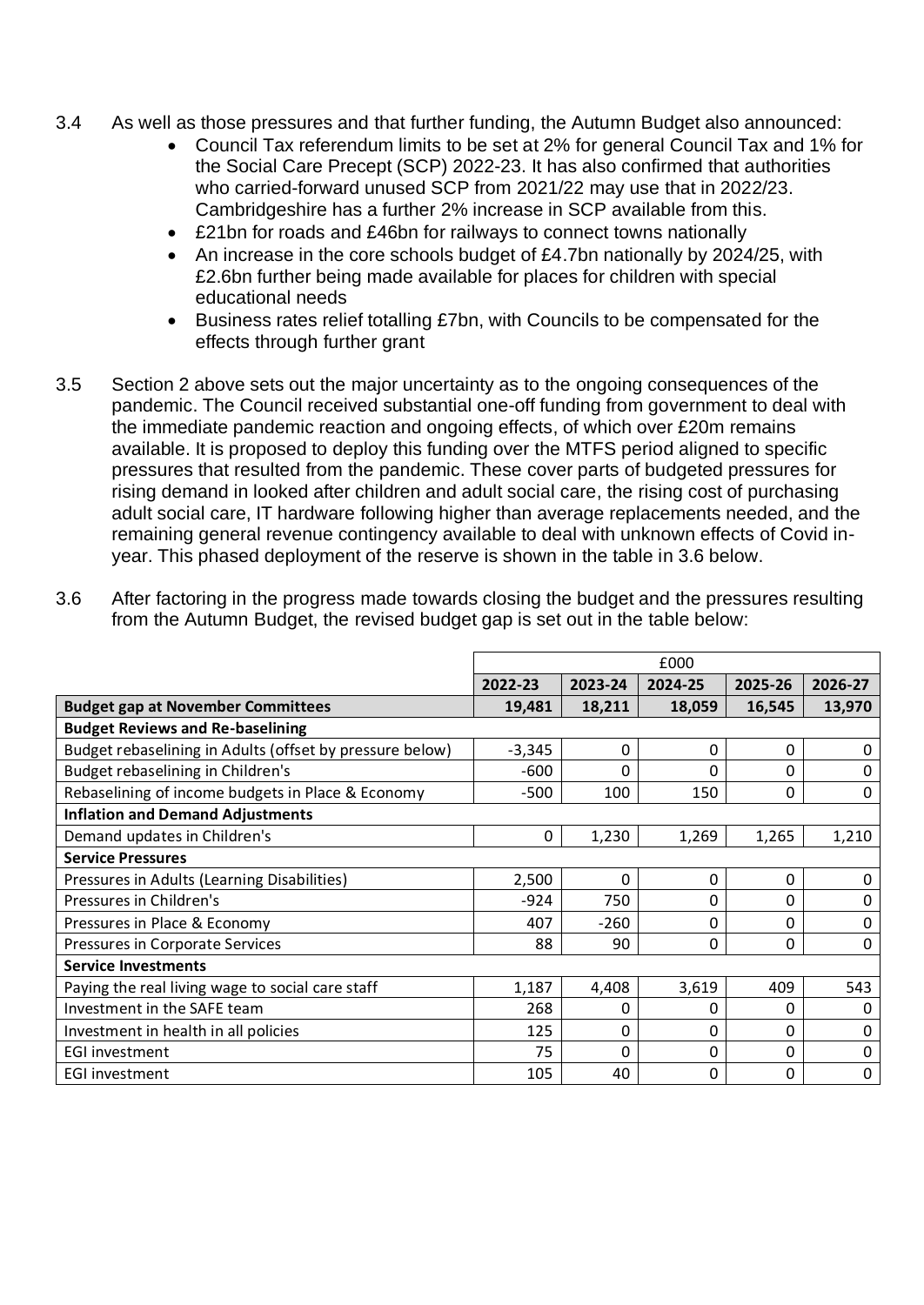- 3.4 As well as those pressures and that further funding, the Autumn Budget also announced:
	- Council Tax referendum limits to be set at 2% for general Council Tax and 1% for the Social Care Precept (SCP) 2022-23. It has also confirmed that authorities who carried-forward unused SCP from 2021/22 may use that in 2022/23. Cambridgeshire has a further 2% increase in SCP available from this.
	- £21bn for roads and £46bn for railways to connect towns nationally
	- An increase in the core schools budget of £4.7bn nationally by 2024/25, with £2.6bn further being made available for places for children with special educational needs
	- Business rates relief totalling £7bn, with Councils to be compensated for the effects through further grant
- 3.5 Section 2 above sets out the major uncertainty as to the ongoing consequences of the pandemic. The Council received substantial one-off funding from government to deal with the immediate pandemic reaction and ongoing effects, of which over £20m remains available. It is proposed to deploy this funding over the MTFS period aligned to specific pressures that resulted from the pandemic. These cover parts of budgeted pressures for rising demand in looked after children and adult social care, the rising cost of purchasing adult social care, IT hardware following higher than average replacements needed, and the remaining general revenue contingency available to deal with unknown effects of Covid inyear. This phased deployment of the reserve is shown in the table in 3.6 below.
- 3.6 After factoring in the progress made towards closing the budget and the pressures resulting from the Autumn Budget, the revised budget gap is set out in the table below:

|                                                          |          |         | £000    |          |          |
|----------------------------------------------------------|----------|---------|---------|----------|----------|
|                                                          | 2022-23  | 2023-24 | 2024-25 | 2025-26  | 2026-27  |
| <b>Budget gap at November Committees</b>                 | 19,481   | 18,211  | 18,059  | 16,545   | 13,970   |
| <b>Budget Reviews and Re-baselining</b>                  |          |         |         |          |          |
| Budget rebaselining in Adults (offset by pressure below) | $-3,345$ | 0       | 0       | 0        | 0        |
| Budget rebaselining in Children's                        | $-600$   | 0       | 0       | 0        | $\Omega$ |
| Rebaselining of income budgets in Place & Economy        | $-500$   | 100     | 150     | 0        | 0        |
| <b>Inflation and Demand Adjustments</b>                  |          |         |         |          |          |
| Demand updates in Children's                             | $\Omega$ | 1,230   | 1,269   | 1,265    | 1,210    |
| <b>Service Pressures</b>                                 |          |         |         |          |          |
| Pressures in Adults (Learning Disabilities)              | 2,500    | 0       | 0       | 0        | 0        |
| Pressures in Children's                                  | -924     | 750     | 0       | 0        | 0        |
| Pressures in Place & Economy                             | 407      | $-260$  | 0       | $\Omega$ | 0        |
| Pressures in Corporate Services                          | 88       | 90      | 0       | 0        | 0        |
| <b>Service Investments</b>                               |          |         |         |          |          |
| Paying the real living wage to social care staff         | 1,187    | 4,408   | 3,619   | 409      | 543      |
| Investment in the SAFE team                              | 268      | 0       | 0       | 0        | 0        |
| Investment in health in all policies                     | 125      | 0       | 0       | 0        | 0        |
| <b>EGI investment</b>                                    | 75       | 0       | 0       | 0        | 0        |
| <b>EGI investment</b>                                    | 105      | 40      | 0       | 0        | 0        |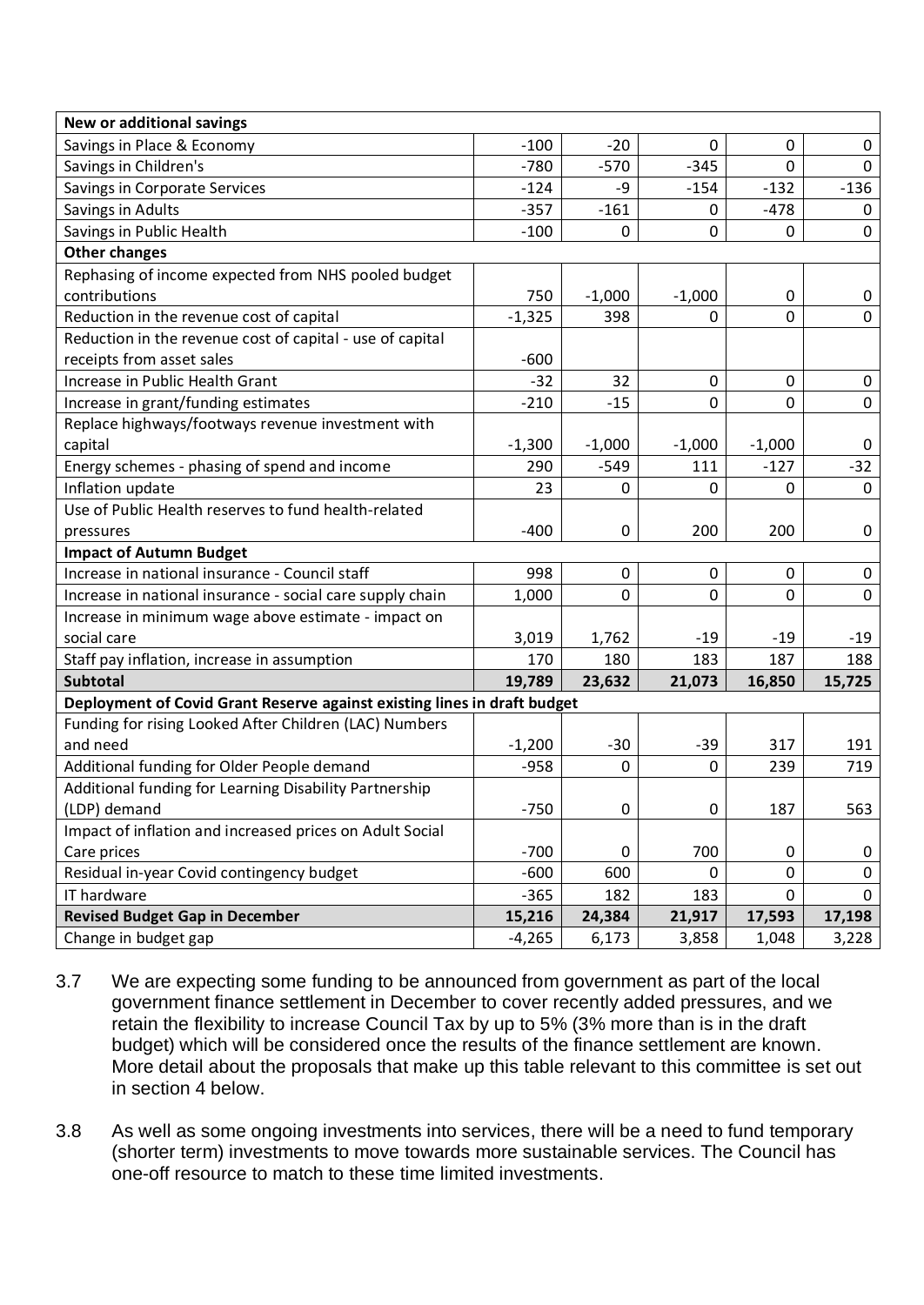| <b>New or additional savings</b>                                         |          |             |          |             |              |
|--------------------------------------------------------------------------|----------|-------------|----------|-------------|--------------|
| Savings in Place & Economy                                               | $-100$   | $-20$       | 0        | 0           | 0            |
| Savings in Children's                                                    | $-780$   | $-570$      | $-345$   | $\mathbf 0$ | $\mathbf 0$  |
| Savings in Corporate Services                                            | $-124$   | -9          | $-154$   | $-132$      | $-136$       |
| Savings in Adults                                                        | $-357$   | $-161$      | 0        | $-478$      | 0            |
| Savings in Public Health                                                 | $-100$   | 0           | 0        | 0           | $\mathbf 0$  |
| <b>Other changes</b>                                                     |          |             |          |             |              |
| Rephasing of income expected from NHS pooled budget                      |          |             |          |             |              |
| contributions                                                            | 750      | $-1,000$    | $-1,000$ | 0           | 0            |
| Reduction in the revenue cost of capital                                 | $-1,325$ | 398         | 0        | 0           | $\mathbf 0$  |
| Reduction in the revenue cost of capital - use of capital                |          |             |          |             |              |
| receipts from asset sales                                                | $-600$   |             |          |             |              |
| Increase in Public Health Grant                                          | $-32$    | 32          | 0        | $\mathbf 0$ | $\mathbf 0$  |
| Increase in grant/funding estimates                                      | $-210$   | $-15$       | 0        | 0           | $\mathbf 0$  |
| Replace highways/footways revenue investment with                        |          |             |          |             |              |
| capital                                                                  | $-1,300$ | $-1,000$    | $-1,000$ | $-1,000$    | 0            |
| Energy schemes - phasing of spend and income                             | 290      | $-549$      | 111      | $-127$      | $-32$        |
| Inflation update                                                         | 23       | 0           | 0        | 0           | $\mathbf{0}$ |
| Use of Public Health reserves to fund health-related                     |          |             |          |             |              |
| pressures                                                                | $-400$   | 0           | 200      | 200         | 0            |
| <b>Impact of Autumn Budget</b>                                           |          |             |          |             |              |
| Increase in national insurance - Council staff                           | 998      | 0           | 0        | 0           | 0            |
| Increase in national insurance - social care supply chain                | 1,000    | $\mathbf 0$ | 0        | $\mathbf 0$ | $\mathbf 0$  |
| Increase in minimum wage above estimate - impact on                      |          |             |          |             |              |
| social care                                                              | 3,019    | 1,762       | $-19$    | $-19$       | $-19$        |
| Staff pay inflation, increase in assumption                              | 170      | 180         | 183      | 187         | 188          |
| <b>Subtotal</b>                                                          | 19,789   | 23,632      | 21,073   | 16,850      | 15,725       |
| Deployment of Covid Grant Reserve against existing lines in draft budget |          |             |          |             |              |
| Funding for rising Looked After Children (LAC) Numbers                   |          |             |          |             |              |
| and need                                                                 | $-1,200$ | $-30$       | $-39$    | 317         | 191          |
| Additional funding for Older People demand                               | $-958$   | 0           | 0        | 239         | 719          |
| Additional funding for Learning Disability Partnership                   |          |             |          |             |              |
| (LDP) demand                                                             | $-750$   | $\pmb{0}$   | 0        | 187         | 563          |
| Impact of inflation and increased prices on Adult Social                 |          |             |          |             |              |
| Care prices                                                              | $-700$   | 0           | 700      | 0           | 0            |
| Residual in-year Covid contingency budget                                | $-600$   | 600         | 0        | 0           | 0            |
| IT hardware                                                              | $-365$   | 182         | 183      | 0           | 0            |
| <b>Revised Budget Gap in December</b>                                    | 15,216   | 24,384      | 21,917   | 17,593      | 17,198       |
| Change in budget gap                                                     | $-4,265$ | 6,173       | 3,858    | 1,048       | 3,228        |

- 3.7 We are expecting some funding to be announced from government as part of the local government finance settlement in December to cover recently added pressures, and we retain the flexibility to increase Council Tax by up to 5% (3% more than is in the draft budget) which will be considered once the results of the finance settlement are known. More detail about the proposals that make up this table relevant to this committee is set out in section 4 below.
- 3.8 As well as some ongoing investments into services, there will be a need to fund temporary (shorter term) investments to move towards more sustainable services. The Council has one-off resource to match to these time limited investments.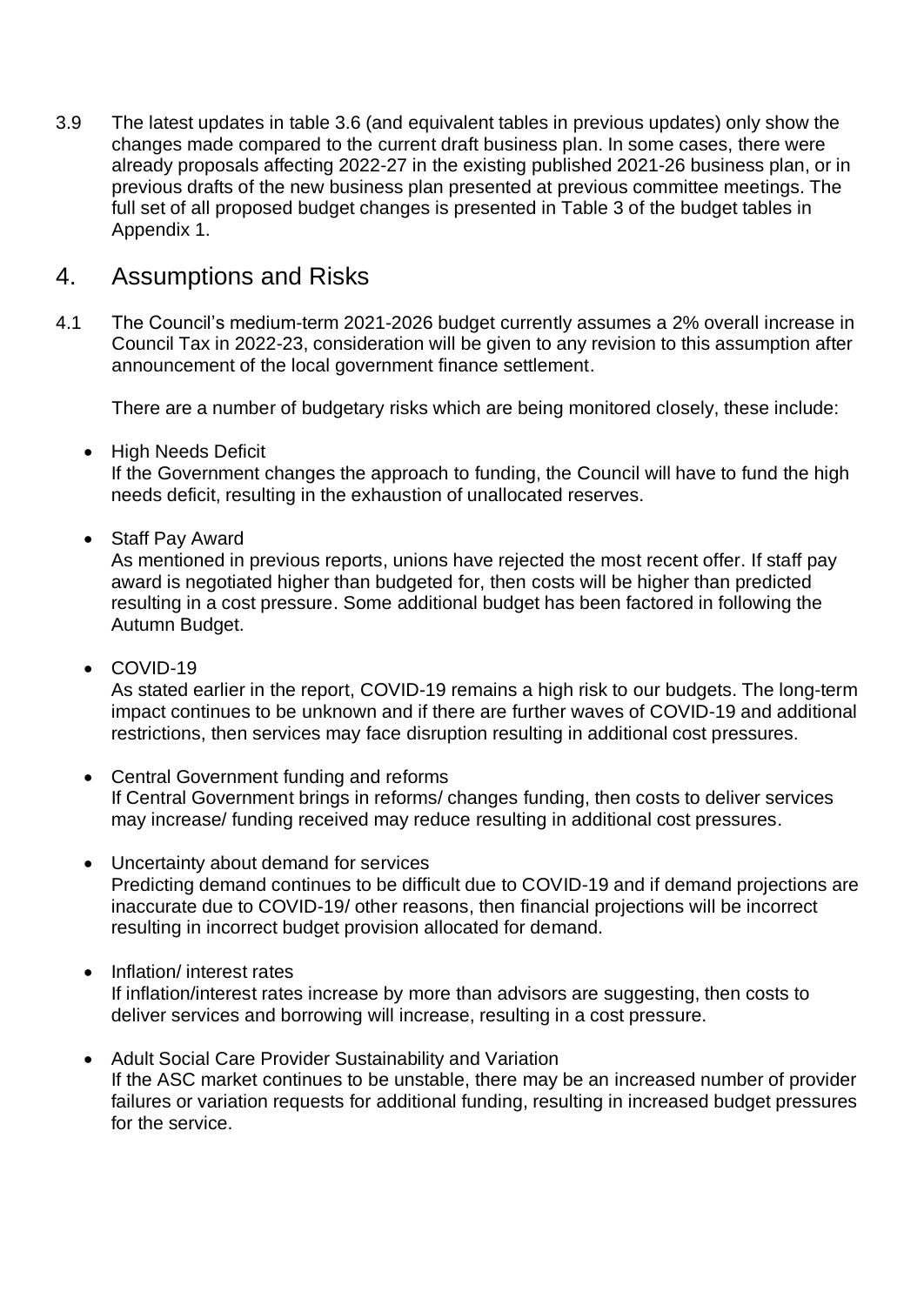3.9 The latest updates in table 3.6 (and equivalent tables in previous updates) only show the changes made compared to the current draft business plan. In some cases, there were already proposals affecting 2022-27 in the existing published 2021-26 business plan, or in previous drafts of the new business plan presented at previous committee meetings. The full set of all proposed budget changes is presented in Table 3 of the budget tables in Appendix 1.

### 4. Assumptions and Risks

4.1 The Council's medium-term 2021-2026 budget currently assumes a 2% overall increase in Council Tax in 2022-23, consideration will be given to any revision to this assumption after announcement of the local government finance settlement.

There are a number of budgetary risks which are being monitored closely, these include:

• High Needs Deficit

If the Government changes the approach to funding, the Council will have to fund the high needs deficit, resulting in the exhaustion of unallocated reserves.

• Staff Pay Award

As mentioned in previous reports, unions have rejected the most recent offer. If staff pay award is negotiated higher than budgeted for, then costs will be higher than predicted resulting in a cost pressure. Some additional budget has been factored in following the Autumn Budget.

• COVID-19

As stated earlier in the report, COVID-19 remains a high risk to our budgets. The long-term impact continues to be unknown and if there are further waves of COVID-19 and additional restrictions, then services may face disruption resulting in additional cost pressures.

- Central Government funding and reforms If Central Government brings in reforms/ changes funding, then costs to deliver services may increase/ funding received may reduce resulting in additional cost pressures.
- Uncertainty about demand for services Predicting demand continues to be difficult due to COVID-19 and if demand projections are inaccurate due to COVID-19/ other reasons, then financial projections will be incorrect resulting in incorrect budget provision allocated for demand.
- Inflation/ interest rates If inflation/interest rates increase by more than advisors are suggesting, then costs to deliver services and borrowing will increase, resulting in a cost pressure.
- Adult Social Care Provider Sustainability and Variation If the ASC market continues to be unstable, there may be an increased number of provider failures or variation requests for additional funding, resulting in increased budget pressures for the service.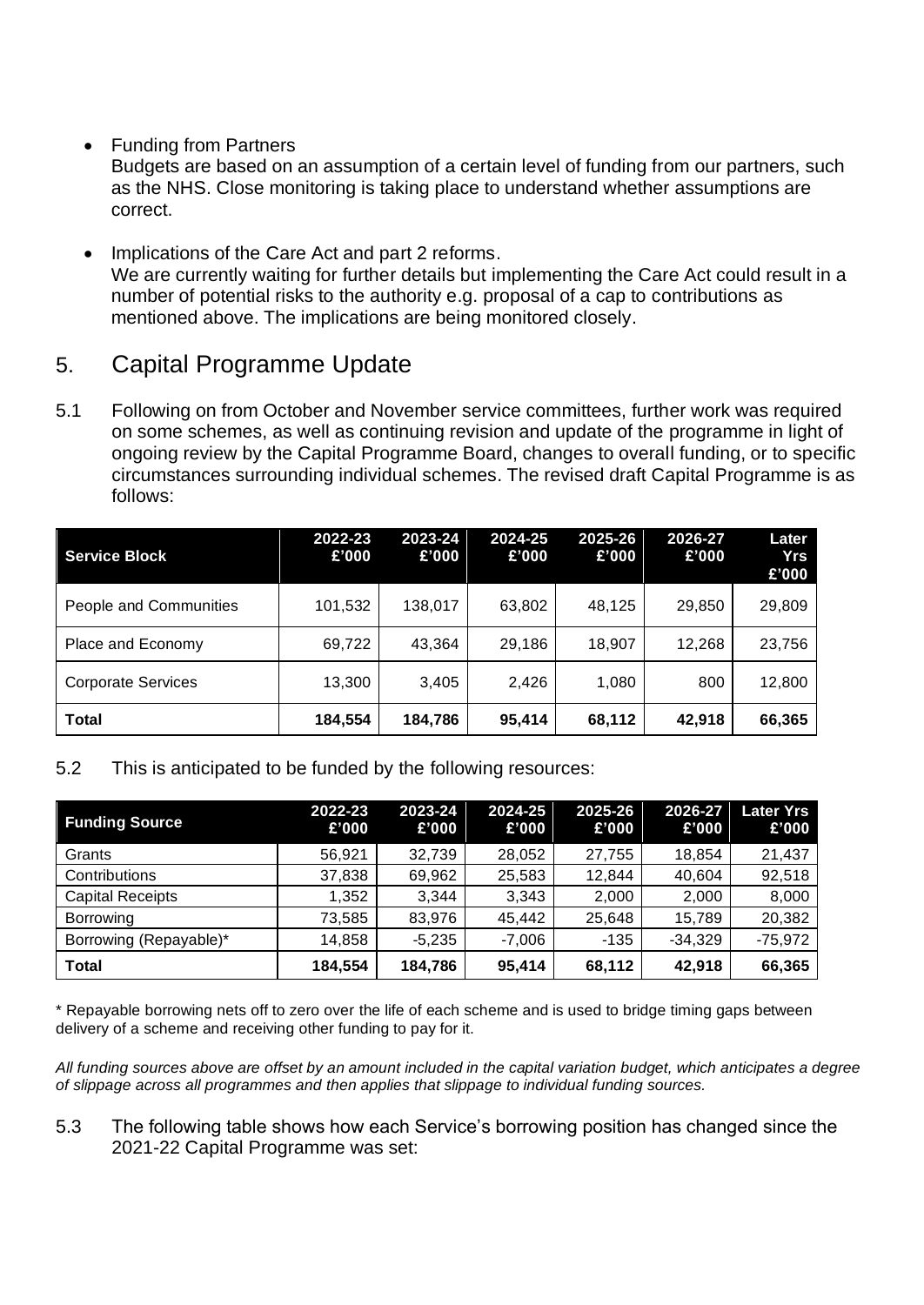#### • Funding from Partners

Budgets are based on an assumption of a certain level of funding from our partners, such as the NHS. Close monitoring is taking place to understand whether assumptions are correct.

Implications of the Care Act and part 2 reforms. We are currently waiting for further details but implementing the Care Act could result in a number of potential risks to the authority e.g. proposal of a cap to contributions as mentioned above. The implications are being monitored closely.

# 5. Capital Programme Update

5.1 Following on from October and November service committees, further work was required on some schemes, as well as continuing revision and update of the programme in light of ongoing review by the Capital Programme Board, changes to overall funding, or to specific circumstances surrounding individual schemes. The revised draft Capital Programme is as follows:

| <b>Service Block</b>      | 2022-23<br>£'000 | 2023-24<br>£'000 | 2024-25<br>£'000 | 2025-26<br>£'000 | 2026-27<br>£'000 | Later<br>Yrs<br>£'000 |
|---------------------------|------------------|------------------|------------------|------------------|------------------|-----------------------|
| People and Communities    | 101,532          | 138,017          | 63,802           | 48,125           | 29,850           | 29,809                |
| Place and Economy         | 69,722           | 43,364           | 29,186           | 18,907           | 12,268           | 23,756                |
| <b>Corporate Services</b> | 13,300           | 3,405            | 2,426            | 1,080            | 800              | 12,800                |
| <b>Total</b>              | 184,554          | 184,786          | 95,414           | 68,112           | 42,918           | 66,365                |

#### 5.2 This is anticipated to be funded by the following resources:

| <b>Funding Source</b>   | 2022-23<br>£'000 | 2023-24<br>£'000 | 2024-25<br>£'000 | 2025-26<br>£'000 | 2026-27<br>£'000 | <b>Later Yrs</b><br>£'000 |
|-------------------------|------------------|------------------|------------------|------------------|------------------|---------------------------|
| Grants                  | 56,921           | 32,739           | 28,052           | 27,755           | 18,854           | 21,437                    |
| Contributions           | 37,838           | 69,962           | 25,583           | 12.844           | 40,604           | 92,518                    |
| <b>Capital Receipts</b> | 1.352            | 3,344            | 3,343            | 2,000            | 2,000            | 8,000                     |
| Borrowing               | 73,585           | 83,976           | 45,442           | 25,648           | 15,789           | 20,382                    |
| Borrowing (Repayable)*  | 14,858           | $-5,235$         | $-7,006$         | $-135$           | $-34,329$        | $-75,972$                 |
| <b>Total</b>            | 184,554          | 184,786          | 95,414           | 68,112           | 42,918           | 66,365                    |

\* Repayable borrowing nets off to zero over the life of each scheme and is used to bridge timing gaps between delivery of a scheme and receiving other funding to pay for it.

*All funding sources above are offset by an amount included in the capital variation budget, which anticipates a degree of slippage across all programmes and then applies that slippage to individual funding sources.*

#### 5.3 The following table shows how each Service's borrowing position has changed since the 2021-22 Capital Programme was set: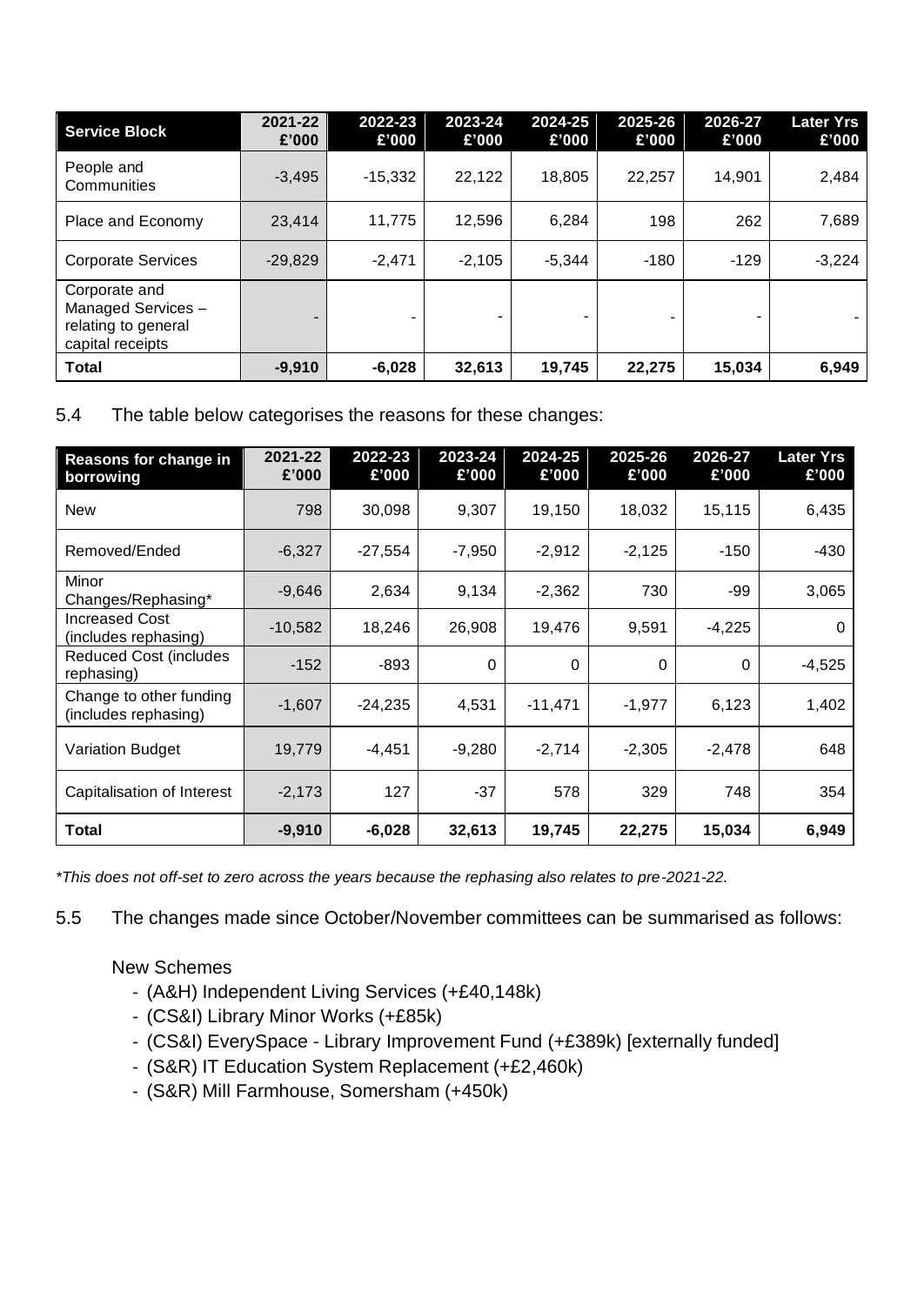| Service Block                                                                 | 2021-22<br>£'000 | 2022-23<br>£'000 | 2023-24<br>£'000 | 2024-25<br>£'000 | 2025-26<br>£'000 | 2026-27<br>£'000 | <b>Later Yrs</b><br>£'000 |
|-------------------------------------------------------------------------------|------------------|------------------|------------------|------------------|------------------|------------------|---------------------------|
| People and<br>Communities                                                     | $-3,495$         | $-15,332$        | 22,122           | 18,805           | 22,257           | 14,901           | 2,484                     |
| Place and Economy                                                             | 23.414           | 11,775           | 12,596           | 6,284            | 198              | 262              | 7,689                     |
| <b>Corporate Services</b>                                                     | $-29,829$        | $-2.471$         | $-2,105$         | $-5.344$         | -180             | $-129$           | $-3,224$                  |
| Corporate and<br>Managed Services-<br>relating to general<br>capital receipts |                  |                  |                  |                  |                  |                  |                           |
| <b>Total</b>                                                                  | $-9,910$         | $-6,028$         | 32,613           | 19,745           | 22,275           | 15,034           | 6,949                     |

5.4 The table below categorises the reasons for these changes:

| Reasons for change in<br>borrowing              | 2021-22<br>£'000 | 2022-23<br>£'000 | 2023-24<br>£'000 | 2024-25<br>£'000 | 2025-26<br>£'000 | 2026-27<br>£'000 | <b>Later Yrs</b><br>£'000 |
|-------------------------------------------------|------------------|------------------|------------------|------------------|------------------|------------------|---------------------------|
| <b>New</b>                                      | 798              | 30,098           | 9,307            | 19,150           | 18,032           | 15,115           | 6,435                     |
| Removed/Ended                                   | $-6,327$         | $-27,554$        | $-7,950$         | $-2,912$         | $-2,125$         | $-150$           | $-430$                    |
| Minor<br>Changes/Rephasing*                     | $-9,646$         | 2,634            | 9,134            | $-2,362$         | 730              | $-99$            | 3,065                     |
| <b>Increased Cost</b><br>(includes rephasing)   | $-10,582$        | 18,246           | 26,908           | 19,476           | 9,591            | $-4,225$         | 0                         |
| <b>Reduced Cost (includes)</b><br>rephasing)    | $-152$           | -893             | $\Omega$         | 0                | 0                | 0                | $-4,525$                  |
| Change to other funding<br>(includes rephasing) | $-1,607$         | $-24,235$        | 4,531            | $-11,471$        | $-1,977$         | 6,123            | 1,402                     |
| <b>Variation Budget</b>                         | 19,779           | $-4,451$         | $-9,280$         | $-2,714$         | $-2,305$         | $-2,478$         | 648                       |
| Capitalisation of Interest                      | $-2,173$         | 127              | $-37$            | 578              | 329              | 748              | 354                       |
| <b>Total</b>                                    | $-9,910$         | $-6,028$         | 32,613           | 19,745           | 22,275           | 15,034           | 6,949                     |

*\*This does not off-set to zero across the years because the rephasing also relates to pre-2021-22.*

5.5 The changes made since October/November committees can be summarised as follows:

New Schemes

- (A&H) Independent Living Services (+£40,148k)
- (CS&I) Library Minor Works (+£85k)
- (CS&I) EverySpace Library Improvement Fund (+£389k) [externally funded]
- (S&R) IT Education System Replacement (+£2,460k)
- (S&R) Mill Farmhouse, Somersham (+450k)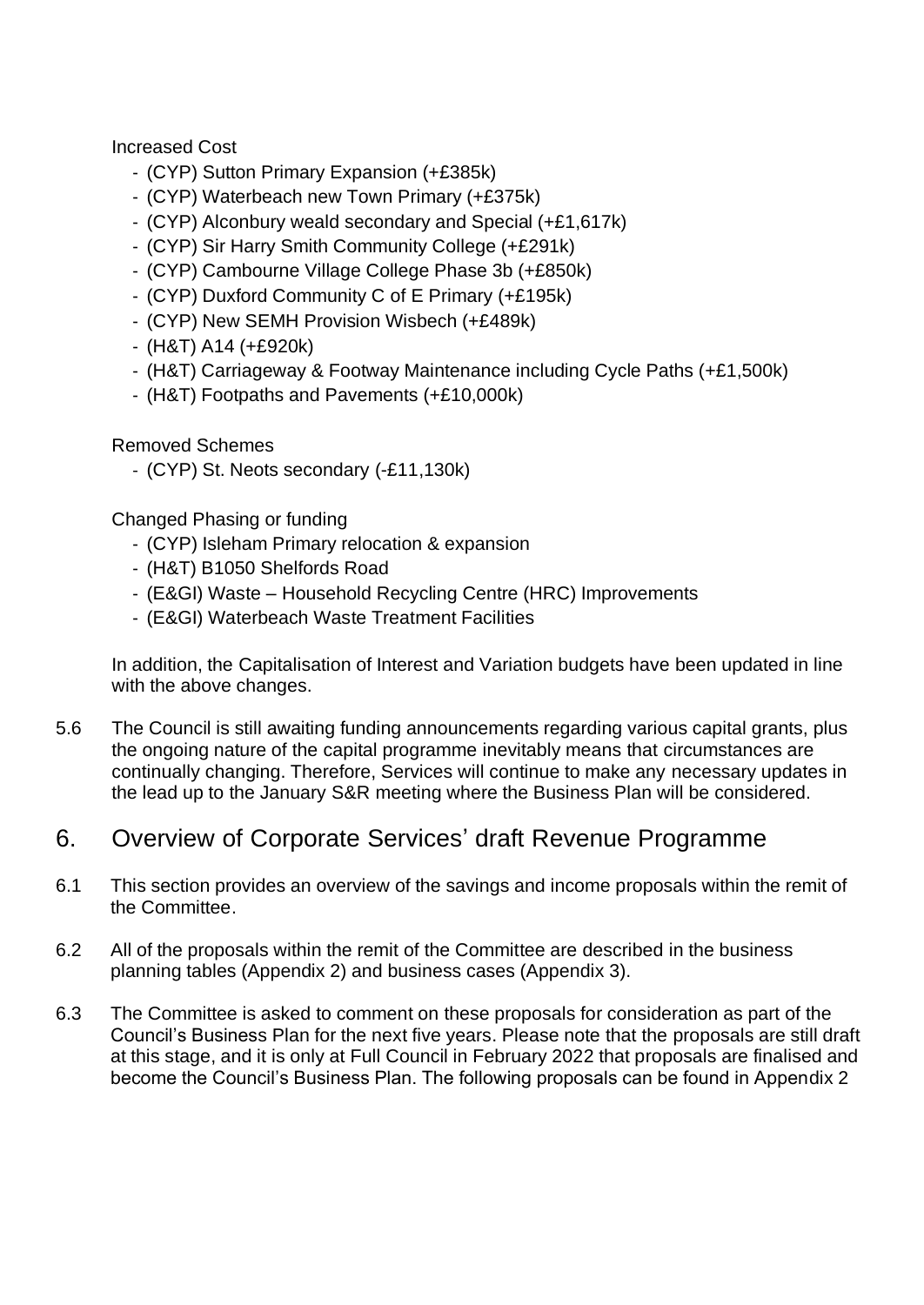Increased Cost

- (CYP) Sutton Primary Expansion (+£385k)
- (CYP) Waterbeach new Town Primary (+£375k)
- (CYP) Alconbury weald secondary and Special (+£1,617k)
- (CYP) Sir Harry Smith Community College (+£291k)
- (CYP) Cambourne Village College Phase 3b (+£850k)
- (CYP) Duxford Community C of E Primary (+£195k)
- (CYP) New SEMH Provision Wisbech (+£489k)
- (H&T) A14 (+£920k)
- (H&T) Carriageway & Footway Maintenance including Cycle Paths (+£1,500k)
- (H&T) Footpaths and Pavements (+£10,000k)

Removed Schemes

- (CYP) St. Neots secondary (-£11,130k)

Changed Phasing or funding

- (CYP) Isleham Primary relocation & expansion
- (H&T) B1050 Shelfords Road
- (E&GI) Waste Household Recycling Centre (HRC) Improvements
- (E&GI) Waterbeach Waste Treatment Facilities

In addition, the Capitalisation of Interest and Variation budgets have been updated in line with the above changes.

5.6 The Council is still awaiting funding announcements regarding various capital grants, plus the ongoing nature of the capital programme inevitably means that circumstances are continually changing. Therefore, Services will continue to make any necessary updates in the lead up to the January S&R meeting where the Business Plan will be considered.

# 6. Overview of Corporate Services' draft Revenue Programme

- 6.1 This section provides an overview of the savings and income proposals within the remit of the Committee.
- 6.2 All of the proposals within the remit of the Committee are described in the business planning tables (Appendix 2) and business cases (Appendix 3).
- 6.3 The Committee is asked to comment on these proposals for consideration as part of the Council's Business Plan for the next five years. Please note that the proposals are still draft at this stage, and it is only at Full Council in February 2022 that proposals are finalised and become the Council's Business Plan. The following proposals can be found in Appendix 2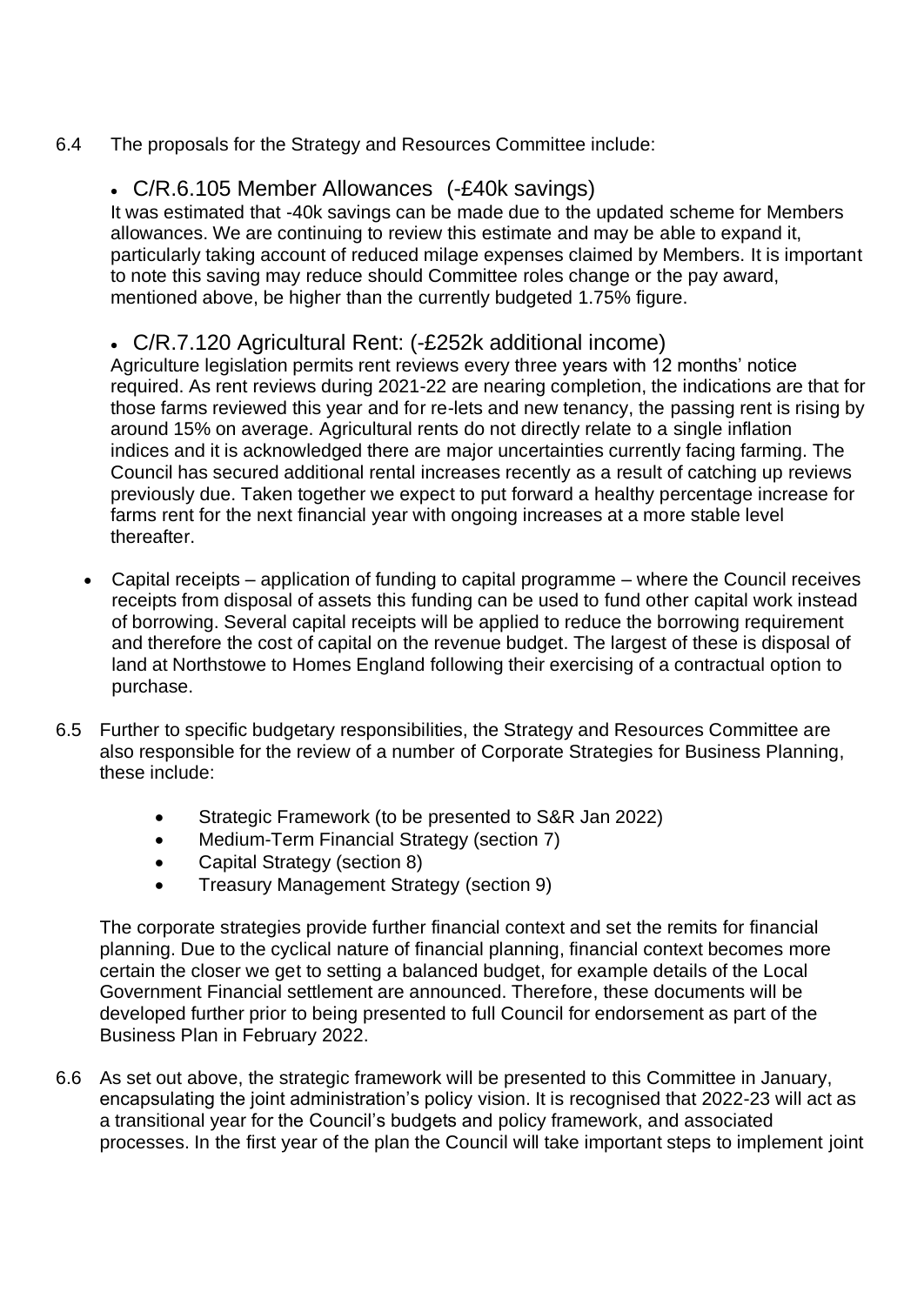#### 6.4 The proposals for the Strategy and Resources Committee include:

### • C/R.6.105 Member Allowances (-£40k savings)

It was estimated that -40k savings can be made due to the updated scheme for Members allowances. We are continuing to review this estimate and may be able to expand it, particularly taking account of reduced milage expenses claimed by Members. It is important to note this saving may reduce should Committee roles change or the pay award, mentioned above, be higher than the currently budgeted 1.75% figure.

#### • C/R.7.120 Agricultural Rent: (-£252k additional income)

Agriculture legislation permits rent reviews every three years with 12 months' notice required. As rent reviews during 2021-22 are nearing completion, the indications are that for those farms reviewed this year and for re-lets and new tenancy, the passing rent is rising by around 15% on average. Agricultural rents do not directly relate to a single inflation indices and it is acknowledged there are major uncertainties currently facing farming. The Council has secured additional rental increases recently as a result of catching up reviews previously due. Taken together we expect to put forward a healthy percentage increase for farms rent for the next financial year with ongoing increases at a more stable level thereafter.

- Capital receipts application of funding to capital programme where the Council receives receipts from disposal of assets this funding can be used to fund other capital work instead of borrowing. Several capital receipts will be applied to reduce the borrowing requirement and therefore the cost of capital on the revenue budget. The largest of these is disposal of land at Northstowe to Homes England following their exercising of a contractual option to purchase.
- 6.5 Further to specific budgetary responsibilities, the Strategy and Resources Committee are also responsible for the review of a number of Corporate Strategies for Business Planning, these include:
	- Strategic Framework (to be presented to S&R Jan 2022)
	- Medium-Term Financial Strategy (section 7)
	- Capital Strategy (section 8)
	- Treasury Management Strategy (section 9)

The corporate strategies provide further financial context and set the remits for financial planning. Due to the cyclical nature of financial planning, financial context becomes more certain the closer we get to setting a balanced budget, for example details of the Local Government Financial settlement are announced. Therefore, these documents will be developed further prior to being presented to full Council for endorsement as part of the Business Plan in February 2022.

6.6 As set out above, the strategic framework will be presented to this Committee in January, encapsulating the joint administration's policy vision. It is recognised that 2022-23 will act as a transitional year for the Council's budgets and policy framework, and associated processes. In the first year of the plan the Council will take important steps to implement joint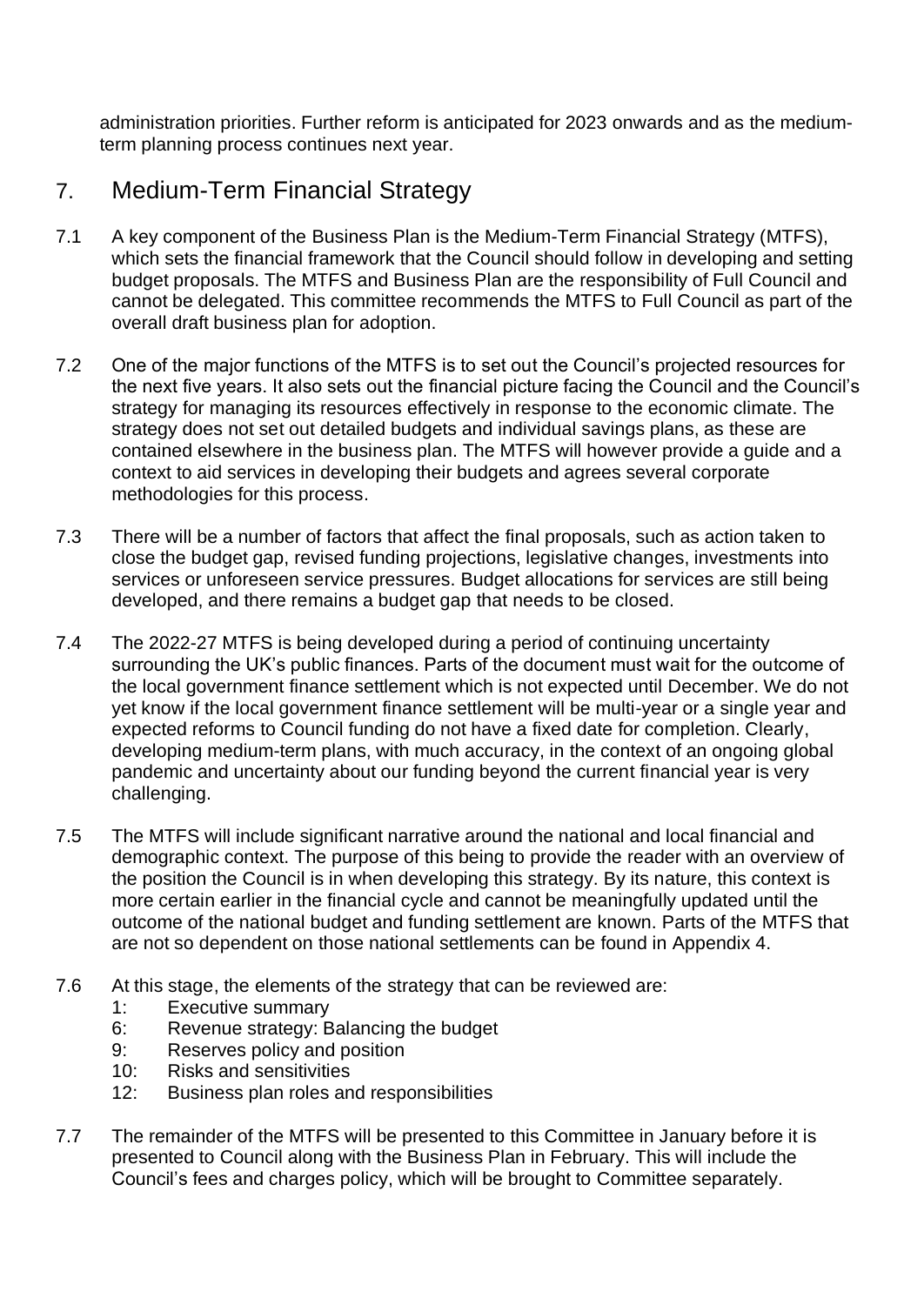administration priorities. Further reform is anticipated for 2023 onwards and as the mediumterm planning process continues next year.

# 7. Medium-Term Financial Strategy

- 7.1 A key component of the Business Plan is the Medium-Term Financial Strategy (MTFS), which sets the financial framework that the Council should follow in developing and setting budget proposals. The MTFS and Business Plan are the responsibility of Full Council and cannot be delegated. This committee recommends the MTFS to Full Council as part of the overall draft business plan for adoption.
- 7.2 One of the major functions of the MTFS is to set out the Council's projected resources for the next five years. It also sets out the financial picture facing the Council and the Council's strategy for managing its resources effectively in response to the economic climate. The strategy does not set out detailed budgets and individual savings plans, as these are contained elsewhere in the business plan. The MTFS will however provide a guide and a context to aid services in developing their budgets and agrees several corporate methodologies for this process.
- 7.3 There will be a number of factors that affect the final proposals, such as action taken to close the budget gap, revised funding projections, legislative changes, investments into services or unforeseen service pressures. Budget allocations for services are still being developed, and there remains a budget gap that needs to be closed.
- 7.4 The 2022-27 MTFS is being developed during a period of continuing uncertainty surrounding the UK's public finances. Parts of the document must wait for the outcome of the local government finance settlement which is not expected until December. We do not yet know if the local government finance settlement will be multi-year or a single year and expected reforms to Council funding do not have a fixed date for completion. Clearly, developing medium-term plans, with much accuracy, in the context of an ongoing global pandemic and uncertainty about our funding beyond the current financial year is very challenging.
- 7.5 The MTFS will include significant narrative around the national and local financial and demographic context. The purpose of this being to provide the reader with an overview of the position the Council is in when developing this strategy. By its nature, this context is more certain earlier in the financial cycle and cannot be meaningfully updated until the outcome of the national budget and funding settlement are known. Parts of the MTFS that are not so dependent on those national settlements can be found in Appendix 4.
- 7.6 At this stage, the elements of the strategy that can be reviewed are:
	- 1: Executive summary
	- 6: Revenue strategy: Balancing the budget
	- 9: Reserves policy and position
	- 10: Risks and sensitivities
	- 12: Business plan roles and responsibilities
- 7.7 The remainder of the MTFS will be presented to this Committee in January before it is presented to Council along with the Business Plan in February. This will include the Council's fees and charges policy, which will be brought to Committee separately.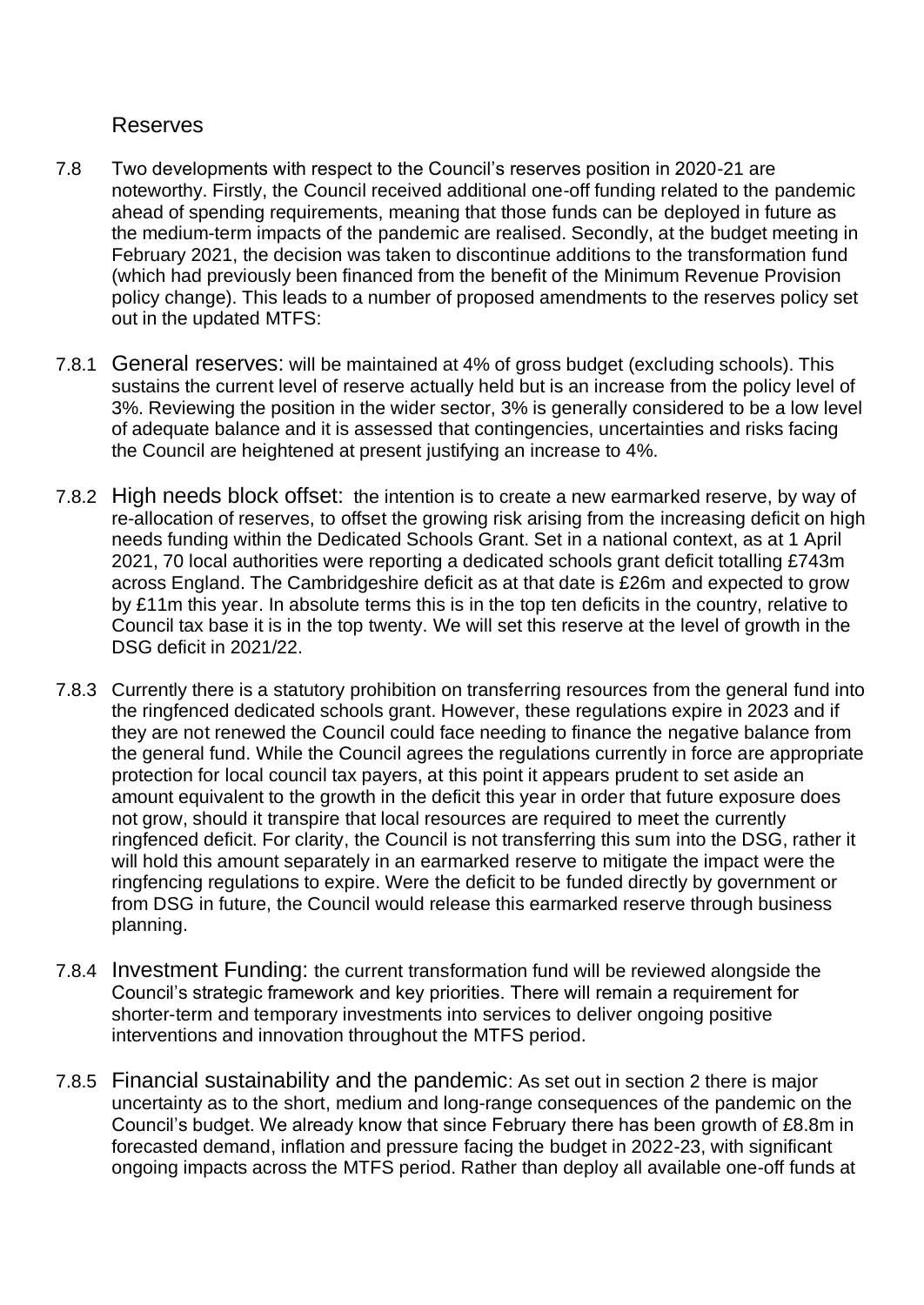#### Reserves

- 7.8 Two developments with respect to the Council's reserves position in 2020-21 are noteworthy. Firstly, the Council received additional one-off funding related to the pandemic ahead of spending requirements, meaning that those funds can be deployed in future as the medium-term impacts of the pandemic are realised. Secondly, at the budget meeting in February 2021, the decision was taken to discontinue additions to the transformation fund (which had previously been financed from the benefit of the Minimum Revenue Provision policy change). This leads to a number of proposed amendments to the reserves policy set out in the updated MTFS:
- 7.8.1 General reserves: will be maintained at 4% of gross budget (excluding schools). This sustains the current level of reserve actually held but is an increase from the policy level of 3%. Reviewing the position in the wider sector, 3% is generally considered to be a low level of adequate balance and it is assessed that contingencies, uncertainties and risks facing the Council are heightened at present justifying an increase to 4%.
- 7.8.2 High needs block offset: the intention is to create a new earmarked reserve, by way of re-allocation of reserves, to offset the growing risk arising from the increasing deficit on high needs funding within the Dedicated Schools Grant. Set in a national context, as at 1 April 2021, 70 local authorities were reporting a dedicated schools grant deficit totalling £743m across England. The Cambridgeshire deficit as at that date is £26m and expected to grow by £11m this year. In absolute terms this is in the top ten deficits in the country, relative to Council tax base it is in the top twenty. We will set this reserve at the level of growth in the DSG deficit in 2021/22.
- 7.8.3 Currently there is a statutory prohibition on transferring resources from the general fund into the ringfenced dedicated schools grant. However, these regulations expire in 2023 and if they are not renewed the Council could face needing to finance the negative balance from the general fund. While the Council agrees the regulations currently in force are appropriate protection for local council tax payers, at this point it appears prudent to set aside an amount equivalent to the growth in the deficit this year in order that future exposure does not grow, should it transpire that local resources are required to meet the currently ringfenced deficit. For clarity, the Council is not transferring this sum into the DSG, rather it will hold this amount separately in an earmarked reserve to mitigate the impact were the ringfencing regulations to expire. Were the deficit to be funded directly by government or from DSG in future, the Council would release this earmarked reserve through business planning.
- 7.8.4 Investment Funding: the current transformation fund will be reviewed alongside the Council's strategic framework and key priorities. There will remain a requirement for shorter-term and temporary investments into services to deliver ongoing positive interventions and innovation throughout the MTFS period.
- 7.8.5 Financial sustainability and the pandemic: As set out in section 2 there is major uncertainty as to the short, medium and long-range consequences of the pandemic on the Council's budget. We already know that since February there has been growth of £8.8m in forecasted demand, inflation and pressure facing the budget in 2022-23, with significant ongoing impacts across the MTFS period. Rather than deploy all available one-off funds at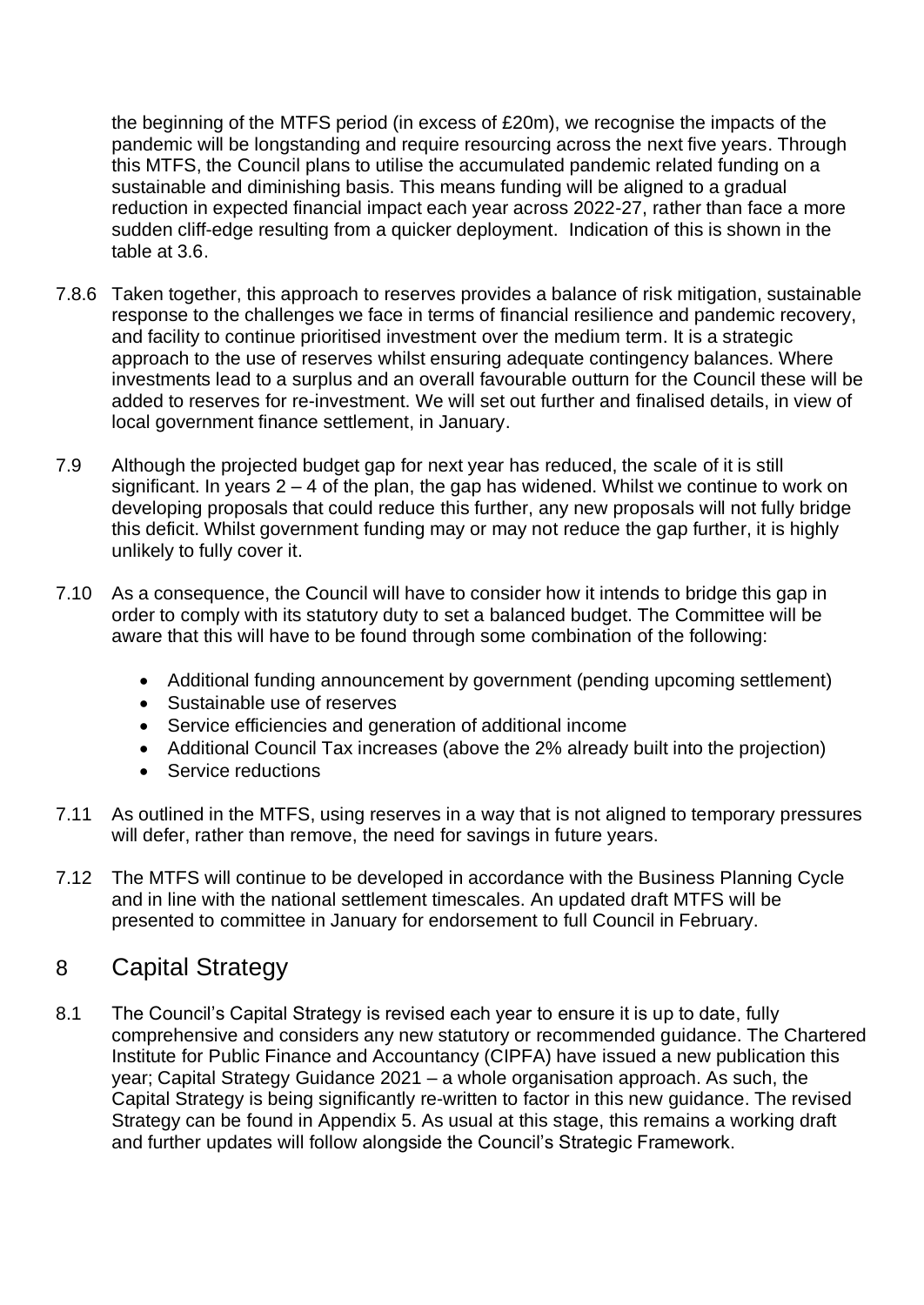the beginning of the MTFS period (in excess of £20m), we recognise the impacts of the pandemic will be longstanding and require resourcing across the next five years. Through this MTFS, the Council plans to utilise the accumulated pandemic related funding on a sustainable and diminishing basis. This means funding will be aligned to a gradual reduction in expected financial impact each year across 2022-27, rather than face a more sudden cliff-edge resulting from a quicker deployment. Indication of this is shown in the table at 3.6.

- 7.8.6 Taken together, this approach to reserves provides a balance of risk mitigation, sustainable response to the challenges we face in terms of financial resilience and pandemic recovery, and facility to continue prioritised investment over the medium term. It is a strategic approach to the use of reserves whilst ensuring adequate contingency balances. Where investments lead to a surplus and an overall favourable outturn for the Council these will be added to reserves for re-investment. We will set out further and finalised details, in view of local government finance settlement, in January.
- 7.9 Although the projected budget gap for next year has reduced, the scale of it is still significant. In years  $2 - 4$  of the plan, the gap has widened. Whilst we continue to work on developing proposals that could reduce this further, any new proposals will not fully bridge this deficit. Whilst government funding may or may not reduce the gap further, it is highly unlikely to fully cover it.
- 7.10 As a consequence, the Council will have to consider how it intends to bridge this gap in order to comply with its statutory duty to set a balanced budget. The Committee will be aware that this will have to be found through some combination of the following:
	- Additional funding announcement by government (pending upcoming settlement)
	- Sustainable use of reserves
	- Service efficiencies and generation of additional income
	- Additional Council Tax increases (above the 2% already built into the projection)
	- Service reductions
- 7.11 As outlined in the MTFS, using reserves in a way that is not aligned to temporary pressures will defer, rather than remove, the need for savings in future years.
- 7.12 The MTFS will continue to be developed in accordance with the Business Planning Cycle and in line with the national settlement timescales. An updated draft MTFS will be presented to committee in January for endorsement to full Council in February.

# 8 Capital Strategy

8.1 The Council's Capital Strategy is revised each year to ensure it is up to date, fully comprehensive and considers any new statutory or recommended guidance. The Chartered Institute for Public Finance and Accountancy (CIPFA) have issued a new publication this year; Capital Strategy Guidance 2021 – a whole organisation approach. As such, the Capital Strategy is being significantly re-written to factor in this new guidance. The revised Strategy can be found in Appendix 5. As usual at this stage, this remains a working draft and further updates will follow alongside the Council's Strategic Framework.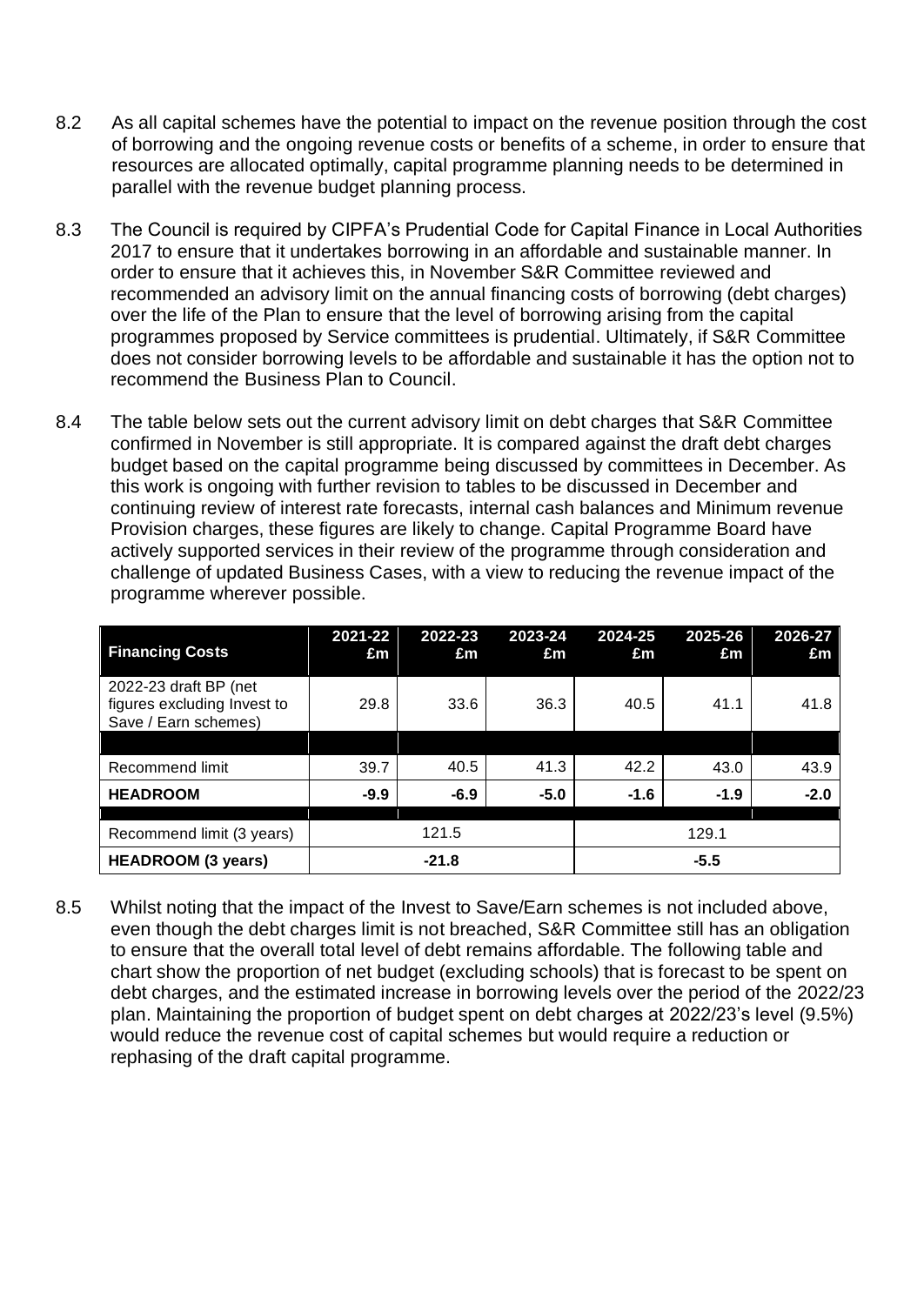- 8.2 As all capital schemes have the potential to impact on the revenue position through the cost of borrowing and the ongoing revenue costs or benefits of a scheme, in order to ensure that resources are allocated optimally, capital programme planning needs to be determined in parallel with the revenue budget planning process.
- 8.3 The Council is required by CIPFA's Prudential Code for Capital Finance in Local Authorities 2017 to ensure that it undertakes borrowing in an affordable and sustainable manner. In order to ensure that it achieves this, in November S&R Committee reviewed and recommended an advisory limit on the annual financing costs of borrowing (debt charges) over the life of the Plan to ensure that the level of borrowing arising from the capital programmes proposed by Service committees is prudential. Ultimately, if S&R Committee does not consider borrowing levels to be affordable and sustainable it has the option not to recommend the Business Plan to Council.
- 8.4 The table below sets out the current advisory limit on debt charges that S&R Committee confirmed in November is still appropriate. It is compared against the draft debt charges budget based on the capital programme being discussed by committees in December. As this work is ongoing with further revision to tables to be discussed in December and continuing review of interest rate forecasts, internal cash balances and Minimum revenue Provision charges, these figures are likely to change. Capital Programme Board have actively supported services in their review of the programme through consideration and challenge of updated Business Cases, with a view to reducing the revenue impact of the programme wherever possible.

| <b>Financing Costs</b>                                                       | 2021-22<br>£m | 2022-23<br>£m | 2023-24<br>£m | 2024-25<br>£m | 2025-26<br>£m | 2026-27<br>£m |
|------------------------------------------------------------------------------|---------------|---------------|---------------|---------------|---------------|---------------|
| 2022-23 draft BP (net<br>figures excluding Invest to<br>Save / Earn schemes) | 29.8          | 33.6          | 36.3          | 40.5          | 41.1          | 41.8          |
|                                                                              |               |               |               |               |               |               |
| Recommend limit                                                              | 39.7          | 40.5          | 41.3          | 42.2          | 43.0          | 43.9          |
| <b>HEADROOM</b>                                                              | $-9.9$        | $-6.9$        | $-5.0$        | $-1.6$        | $-1.9$        | $-2.0$        |
|                                                                              |               |               |               |               |               |               |
| Recommend limit (3 years)                                                    |               | 121.5         |               |               | 129.1         |               |
| <b>HEADROOM (3 years)</b>                                                    | $-21.8$       |               |               | $-5.5$        |               |               |

8.5 Whilst noting that the impact of the Invest to Save/Earn schemes is not included above, even though the debt charges limit is not breached, S&R Committee still has an obligation to ensure that the overall total level of debt remains affordable. The following table and chart show the proportion of net budget (excluding schools) that is forecast to be spent on debt charges, and the estimated increase in borrowing levels over the period of the 2022/23 plan. Maintaining the proportion of budget spent on debt charges at 2022/23's level (9.5%) would reduce the revenue cost of capital schemes but would require a reduction or rephasing of the draft capital programme.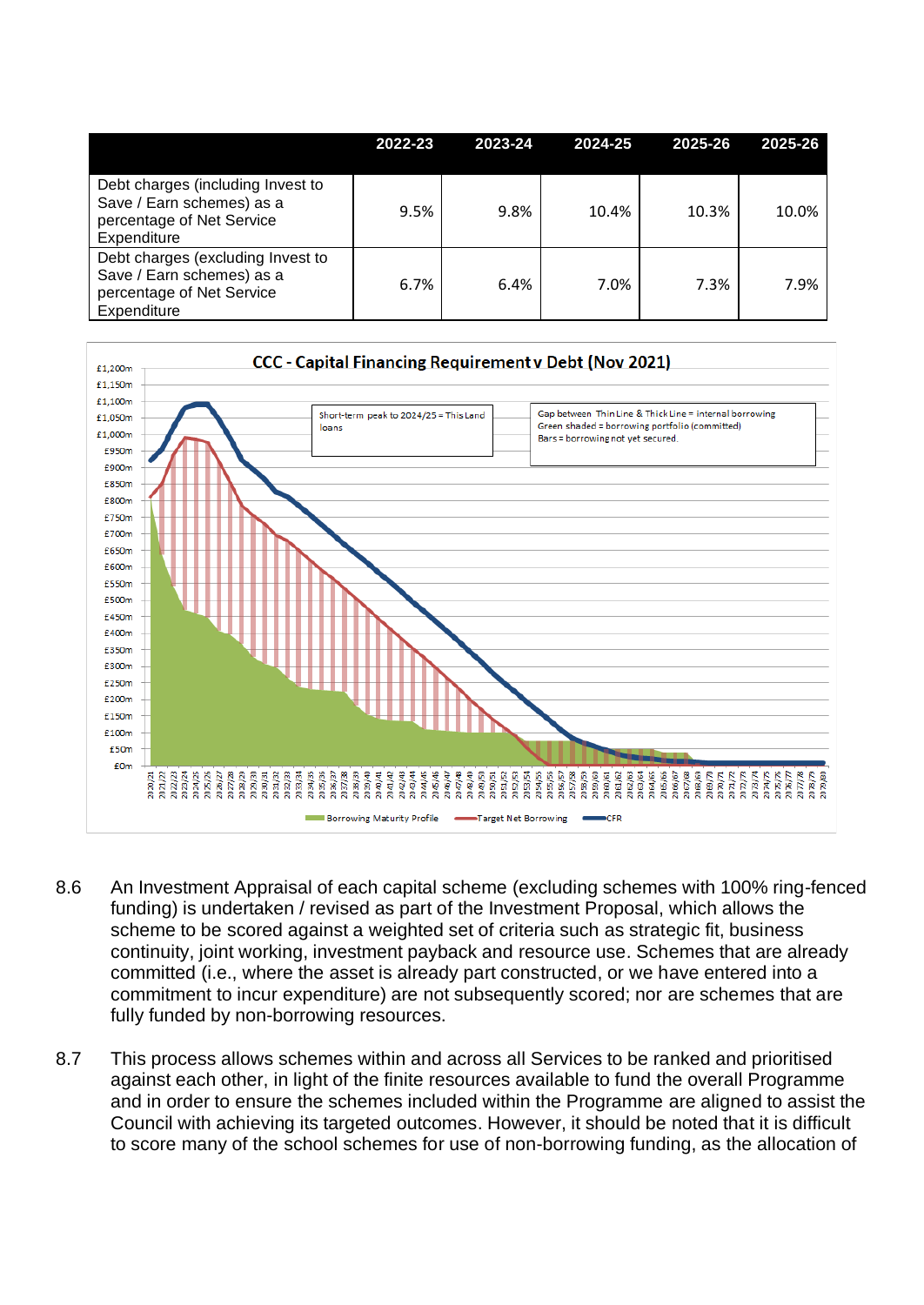|                                                                                                            | 2022-23 | 2023-24 | 2024-25 | 2025-26 | 2025-26 |
|------------------------------------------------------------------------------------------------------------|---------|---------|---------|---------|---------|
| Debt charges (including Invest to<br>Save / Earn schemes) as a<br>percentage of Net Service<br>Expenditure | 9.5%    | 9.8%    | 10.4%   | 10.3%   | 10.0%   |
| Debt charges (excluding Invest to<br>Save / Earn schemes) as a<br>percentage of Net Service<br>Expenditure | 6.7%    | 6.4%    | 7.0%    | 7.3%    | 7.9%    |



- 8.6 An Investment Appraisal of each capital scheme (excluding schemes with 100% ring-fenced funding) is undertaken / revised as part of the Investment Proposal, which allows the scheme to be scored against a weighted set of criteria such as strategic fit, business continuity, joint working, investment payback and resource use. Schemes that are already committed (i.e., where the asset is already part constructed, or we have entered into a commitment to incur expenditure) are not subsequently scored; nor are schemes that are fully funded by non-borrowing resources.
- 8.7 This process allows schemes within and across all Services to be ranked and prioritised against each other, in light of the finite resources available to fund the overall Programme and in order to ensure the schemes included within the Programme are aligned to assist the Council with achieving its targeted outcomes. However, it should be noted that it is difficult to score many of the school schemes for use of non-borrowing funding, as the allocation of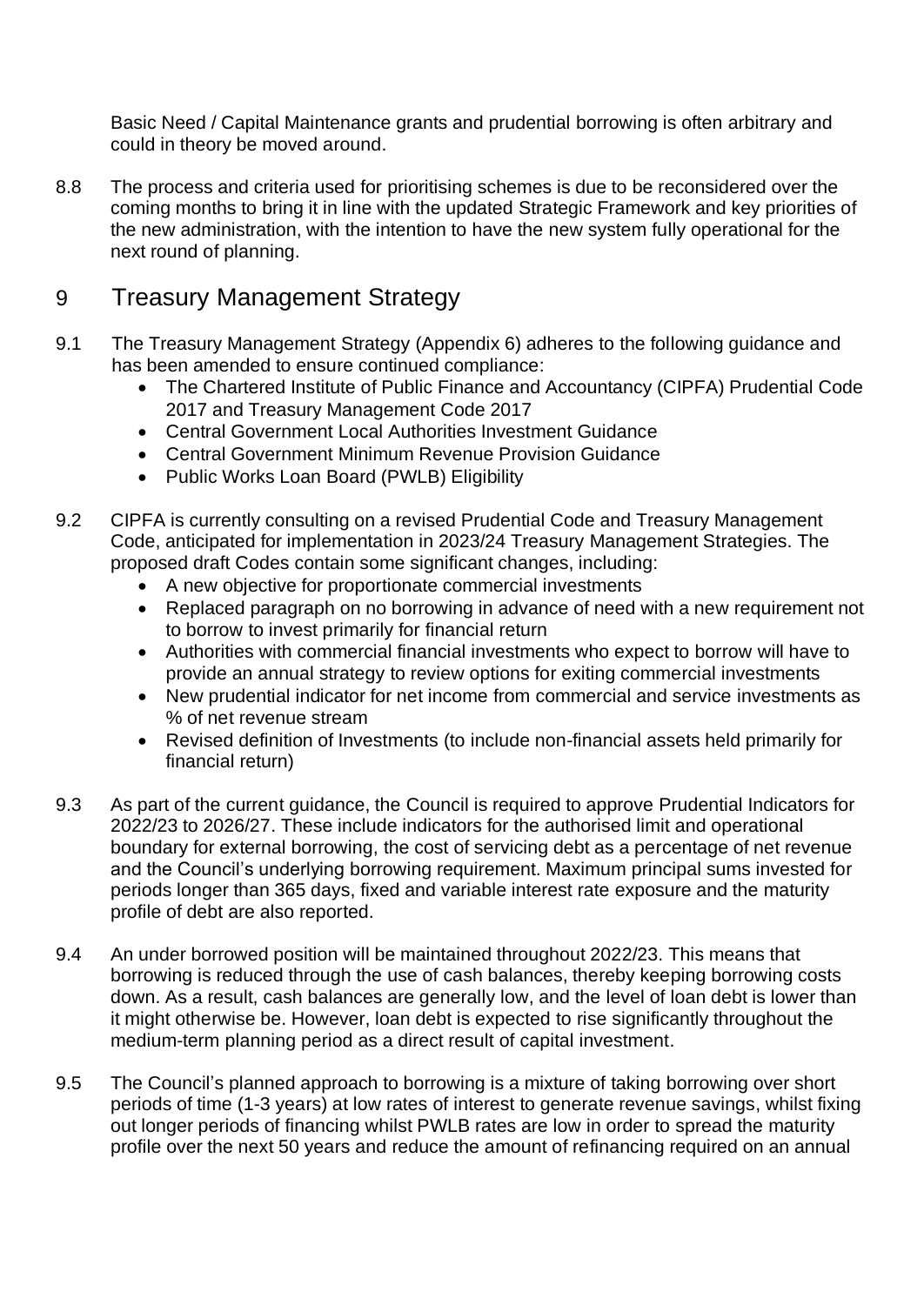Basic Need / Capital Maintenance grants and prudential borrowing is often arbitrary and could in theory be moved around.

8.8 The process and criteria used for prioritising schemes is due to be reconsidered over the coming months to bring it in line with the updated Strategic Framework and key priorities of the new administration, with the intention to have the new system fully operational for the next round of planning.

# 9 Treasury Management Strategy

- 9.1 The Treasury Management Strategy (Appendix 6) adheres to the following guidance and has been amended to ensure continued compliance:
	- The Chartered Institute of Public Finance and Accountancy (CIPFA) Prudential Code 2017 and Treasury Management Code 2017
	- Central Government Local Authorities Investment Guidance
	- Central Government Minimum Revenue Provision Guidance
	- Public Works Loan Board (PWLB) Eligibility
- 9.2 CIPFA is currently consulting on a revised Prudential Code and Treasury Management Code, anticipated for implementation in 2023/24 Treasury Management Strategies. The proposed draft Codes contain some significant changes, including:
	- A new objective for proportionate commercial investments
	- Replaced paragraph on no borrowing in advance of need with a new requirement not to borrow to invest primarily for financial return
	- Authorities with commercial financial investments who expect to borrow will have to provide an annual strategy to review options for exiting commercial investments
	- New prudential indicator for net income from commercial and service investments as % of net revenue stream
	- Revised definition of Investments (to include non-financial assets held primarily for financial return)
- 9.3 As part of the current guidance, the Council is required to approve Prudential Indicators for 2022/23 to 2026/27. These include indicators for the authorised limit and operational boundary for external borrowing, the cost of servicing debt as a percentage of net revenue and the Council's underlying borrowing requirement. Maximum principal sums invested for periods longer than 365 days, fixed and variable interest rate exposure and the maturity profile of debt are also reported.
- 9.4 An under borrowed position will be maintained throughout 2022/23. This means that borrowing is reduced through the use of cash balances, thereby keeping borrowing costs down. As a result, cash balances are generally low, and the level of loan debt is lower than it might otherwise be. However, loan debt is expected to rise significantly throughout the medium-term planning period as a direct result of capital investment.
- 9.5 The Council's planned approach to borrowing is a mixture of taking borrowing over short periods of time (1-3 years) at low rates of interest to generate revenue savings, whilst fixing out longer periods of financing whilst PWLB rates are low in order to spread the maturity profile over the next 50 years and reduce the amount of refinancing required on an annual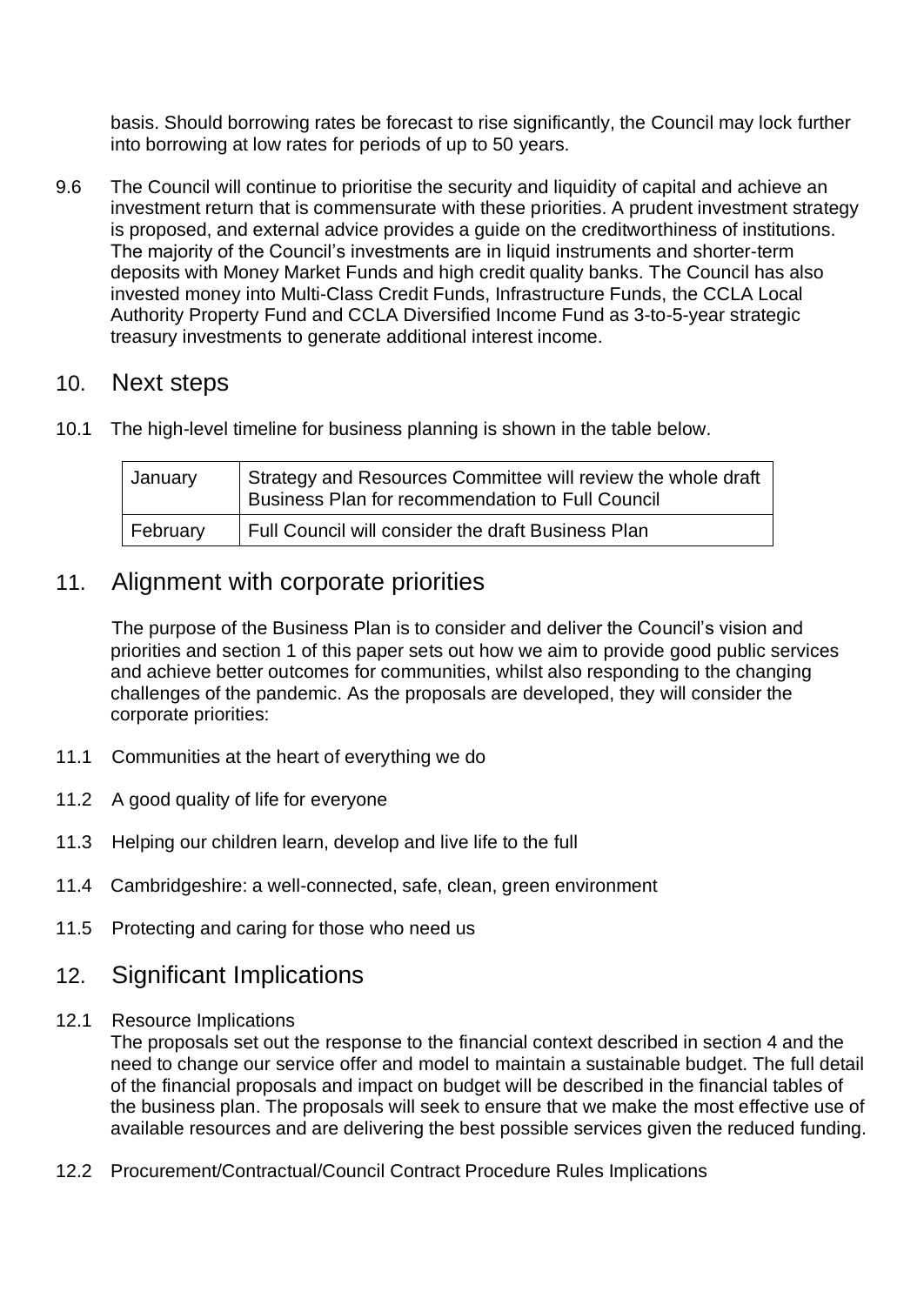basis. Should borrowing rates be forecast to rise significantly, the Council may lock further into borrowing at low rates for periods of up to 50 years.

9.6 The Council will continue to prioritise the security and liquidity of capital and achieve an investment return that is commensurate with these priorities. A prudent investment strategy is proposed, and external advice provides a guide on the creditworthiness of institutions. The majority of the Council's investments are in liquid instruments and shorter-term deposits with Money Market Funds and high credit quality banks. The Council has also invested money into Multi-Class Credit Funds, Infrastructure Funds, the CCLA Local Authority Property Fund and CCLA Diversified Income Fund as 3-to-5-year strategic treasury investments to generate additional interest income.

#### 10. Next steps

10.1 The high-level timeline for business planning is shown in the table below.

| January  | Strategy and Resources Committee will review the whole draft<br>Business Plan for recommendation to Full Council |
|----------|------------------------------------------------------------------------------------------------------------------|
| February | Full Council will consider the draft Business Plan                                                               |

### 11. Alignment with corporate priorities

The purpose of the Business Plan is to consider and deliver the Council's vision and priorities and section 1 of this paper sets out how we aim to provide good public services and achieve better outcomes for communities, whilst also responding to the changing challenges of the pandemic. As the proposals are developed, they will consider the corporate priorities:

- 11.1 Communities at the heart of everything we do
- 11.2 A good quality of life for everyone
- 11.3 Helping our children learn, develop and live life to the full
- 11.4 Cambridgeshire: a well-connected, safe, clean, green environment
- 11.5 Protecting and caring for those who need us
- 12. Significant Implications
- 12.1 Resource Implications

The proposals set out the response to the financial context described in section 4 and the need to change our service offer and model to maintain a sustainable budget. The full detail of the financial proposals and impact on budget will be described in the financial tables of the business plan. The proposals will seek to ensure that we make the most effective use of available resources and are delivering the best possible services given the reduced funding.

12.2 Procurement/Contractual/Council Contract Procedure Rules Implications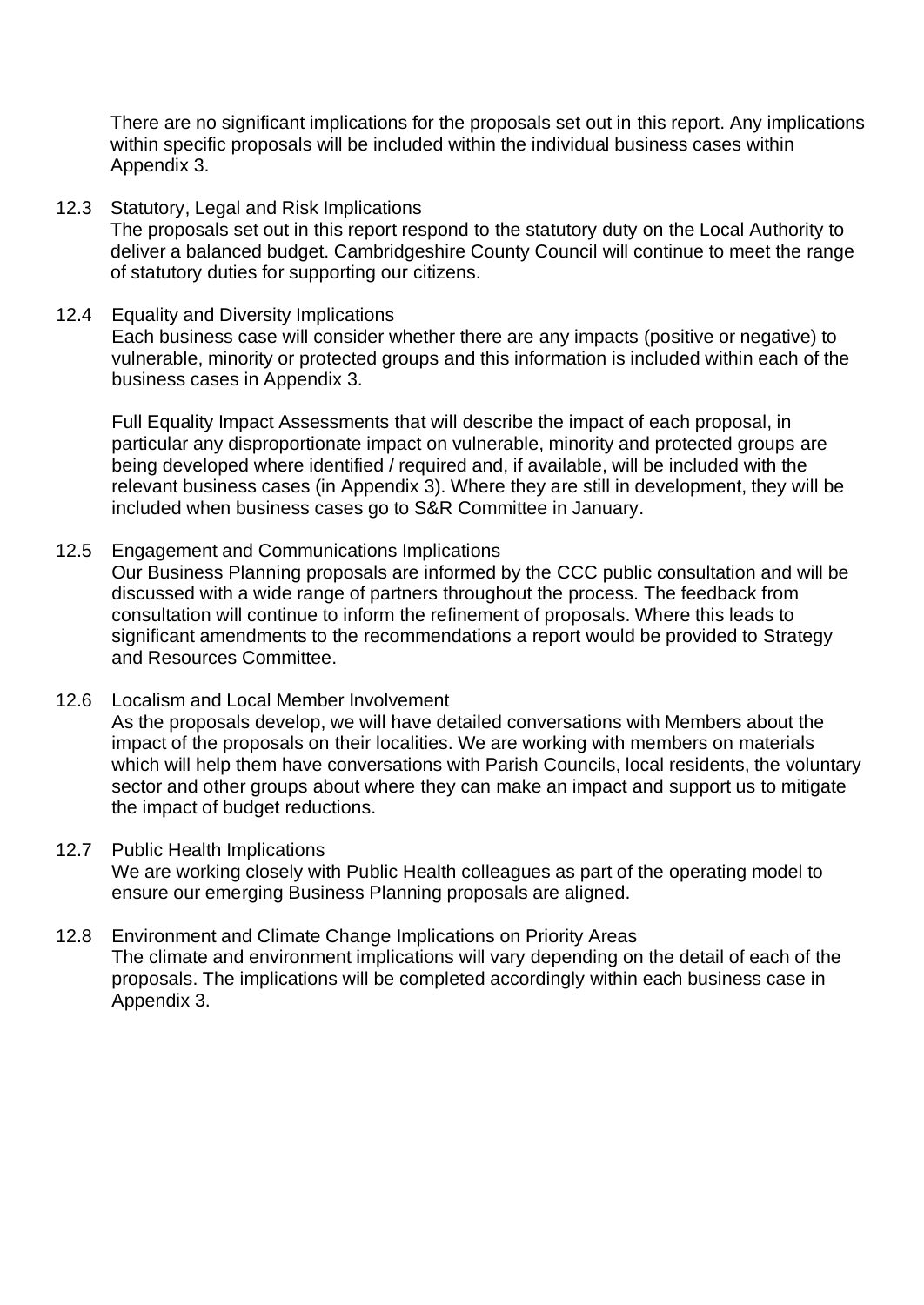There are no significant implications for the proposals set out in this report. Any implications within specific proposals will be included within the individual business cases within Appendix 3.

12.3 Statutory, Legal and Risk Implications

The proposals set out in this report respond to the statutory duty on the Local Authority to deliver a balanced budget. Cambridgeshire County Council will continue to meet the range of statutory duties for supporting our citizens.

#### 12.4 Equality and Diversity Implications

Each business case will consider whether there are any impacts (positive or negative) to vulnerable, minority or protected groups and this information is included within each of the business cases in Appendix 3.

Full Equality Impact Assessments that will describe the impact of each proposal, in particular any disproportionate impact on vulnerable, minority and protected groups are being developed where identified / required and, if available, will be included with the relevant business cases (in Appendix 3). Where they are still in development, they will be included when business cases go to S&R Committee in January.

12.5 Engagement and Communications Implications

Our Business Planning proposals are informed by the CCC public consultation and will be discussed with a wide range of partners throughout the process. The feedback from consultation will continue to inform the refinement of proposals. Where this leads to significant amendments to the recommendations a report would be provided to Strategy and Resources Committee.

12.6 Localism and Local Member Involvement As the proposals develop, we will have detailed conversations with Members about the impact of the proposals on their localities. We are working with members on materials which will help them have conversations with Parish Councils, local residents, the voluntary sector and other groups about where they can make an impact and support us to mitigate the impact of budget reductions.

#### 12.7 Public Health Implications

We are working closely with Public Health colleagues as part of the operating model to ensure our emerging Business Planning proposals are aligned.

12.8 Environment and Climate Change Implications on Priority Areas The climate and environment implications will vary depending on the detail of each of the proposals. The implications will be completed accordingly within each business case in Appendix 3.